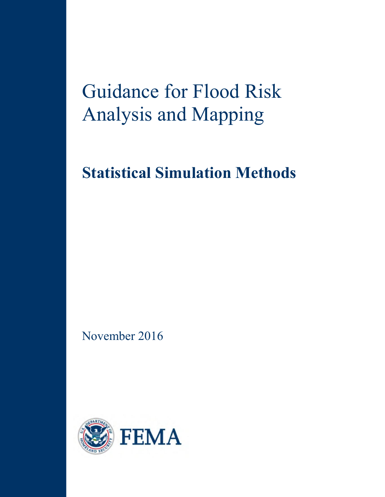# Guidance for Flood Risk Analysis and Mapping

# **Statistical Simulation Methods**

November 2016

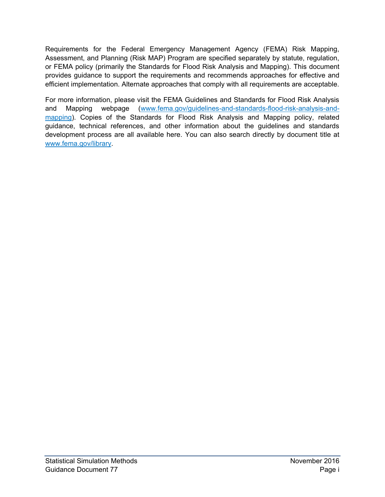Requirements for the Federal Emergency Management Agency (FEMA) Risk Mapping, Assessment, and Planning (Risk MAP) Program are specified separately by statute, regulation, or FEMA policy (primarily the Standards for Flood Risk Analysis and Mapping). This document provides guidance to support the requirements and recommends approaches for effective and efficient implementation. Alternate approaches that comply with all requirements are acceptable.

For more information, please visit the FEMA Guidelines and Standards for Flood Risk Analysis and Mapping webpage [\(www.fema.gov/guidelines-and-standards-flood-risk-analysis-and](http://www.fema.gov/guidelines-and-standards-flood-risk-analysis-and-mapping)[mapping\)](http://www.fema.gov/guidelines-and-standards-flood-risk-analysis-and-mapping). Copies of the Standards for Flood Risk Analysis and Mapping policy, related guidance, technical references, and other information about the guidelines and standards development process are all available here. You can also search directly by document title at [www.fema.gov/library.](http://www.fema.gov/library)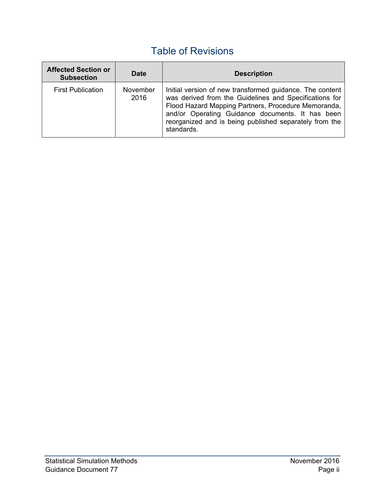## Table of Revisions

| <b>Affected Section or</b><br><b>Subsection</b> | <b>Date</b>      | <b>Description</b>                                                                                                                                                                                                                                                                                    |
|-------------------------------------------------|------------------|-------------------------------------------------------------------------------------------------------------------------------------------------------------------------------------------------------------------------------------------------------------------------------------------------------|
| <b>First Publication</b>                        | November<br>2016 | Initial version of new transformed guidance. The content<br>was derived from the Guidelines and Specifications for<br>Flood Hazard Mapping Partners, Procedure Memoranda,<br>and/or Operating Guidance documents. It has been<br>reorganized and is being published separately from the<br>standards. |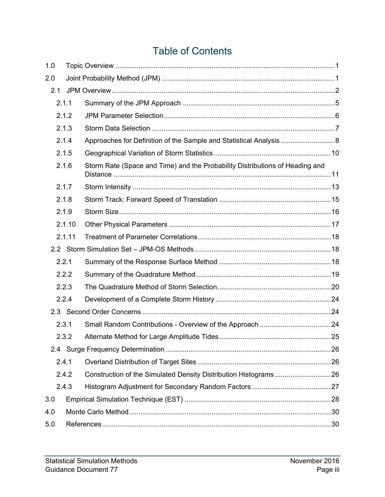## Table of Contents

| 1.0   |        |                                                                              |  |
|-------|--------|------------------------------------------------------------------------------|--|
| 2.0   |        |                                                                              |  |
| 2.1   |        |                                                                              |  |
|       | 2.1.1  |                                                                              |  |
|       | 2.1.2  |                                                                              |  |
|       | 2.1.3  |                                                                              |  |
| 2.1.4 |        |                                                                              |  |
|       | 2.1.5  |                                                                              |  |
|       | 2.1.6  | Storm Rate (Space and Time) and the Probability Distributions of Heading and |  |
|       | 2.1.7  |                                                                              |  |
|       | 2.1.8  |                                                                              |  |
|       | 2.1.9  |                                                                              |  |
|       | 2.1.10 |                                                                              |  |
|       | 2.1.11 |                                                                              |  |
|       |        |                                                                              |  |
|       | 2.2.1  |                                                                              |  |
|       | 2.2.2  |                                                                              |  |
|       | 2.2.3  |                                                                              |  |
|       | 2.2.4  |                                                                              |  |
|       |        |                                                                              |  |
|       | 2.3.1  |                                                                              |  |
|       | 2.3.2  |                                                                              |  |
|       |        |                                                                              |  |
|       | 2.4.1  |                                                                              |  |
|       | 2.4.2  |                                                                              |  |
|       | 2.4.3  |                                                                              |  |
| 3.0   |        |                                                                              |  |
| 4.0   |        |                                                                              |  |
| 5.0   |        |                                                                              |  |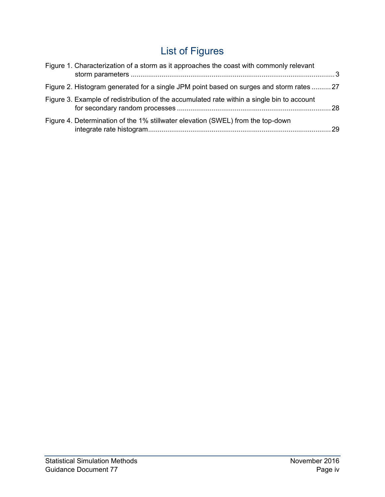# List of Figures

| Figure 1. Characterization of a storm as it approaches the coast with commonly relevant    |     |
|--------------------------------------------------------------------------------------------|-----|
| Figure 2. Histogram generated for a single JPM point based on surges and storm rates 27    |     |
| Figure 3. Example of redistribution of the accumulated rate within a single bin to account |     |
| Figure 4. Determination of the 1% stillwater elevation (SWEL) from the top-down            | -29 |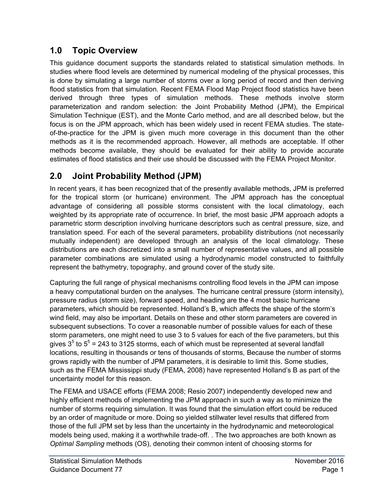## <span id="page-5-0"></span>**1.0 Topic Overview**

This guidance document supports the standards related to statistical simulation methods. In studies where flood levels are determined by numerical modeling of the physical processes, this is done by simulating a large number of storms over a long period of record and then deriving flood statistics from that simulation. Recent FEMA Flood Map Project flood statistics have been derived through three types of simulation methods. These methods involve storm parameterization and random selection: the Joint Probability Method (JPM), the Empirical Simulation Technique (EST), and the Monte Carlo method, and are all described below, but the focus is on the JPM approach, which has been widely used in recent FEMA studies. The stateof-the-practice for the JPM is given much more coverage in this document than the other methods as it is the recommended approach. However, all methods are acceptable. If other methods become available, they should be evaluated for their ability to provide accurate estimates of flood statistics and their use should be discussed with the FEMA Project Monitor.

## <span id="page-5-1"></span>**2.0 Joint Probability Method (JPM)**

In recent years, it has been recognized that of the presently available methods, JPM is preferred for the tropical storm (or hurricane) environment. The JPM approach has the conceptual advantage of considering all possible storms consistent with the local climatology, each weighted by its appropriate rate of occurrence. In brief, the most basic JPM approach adopts a parametric storm description involving hurricane descriptors such as central pressure, size, and translation speed. For each of the several parameters, probability distributions (not necessarily mutually independent) are developed through an analysis of the local climatology. These distributions are each discretized into a small number of representative values, and all possible parameter combinations are simulated using a hydrodynamic model constructed to faithfully represent the bathymetry, topography, and ground cover of the study site.

Capturing the full range of physical mechanisms controlling flood levels in the JPM can impose a heavy computational burden on the analyses. The hurricane central pressure (storm intensity), pressure radius (storm size), forward speed, and heading are the 4 most basic hurricane parameters, which should be represented. Holland's B, which affects the shape of the storm's wind field, may also be important. Details on these and other storm parameters are covered in subsequent subsections. To cover a reasonable number of possible values for each of these storm parameters, one might need to use 3 to 5 values for each of the five parameters, but this gives  $3<sup>5</sup>$  to  $5<sup>5</sup>$  = 243 to 3125 storms, each of which must be represented at several landfall locations, resulting in thousands or tens of thousands of storms, Because the number of storms grows rapidly with the number of JPM parameters, it is desirable to limit this. Some studies, such as the FEMA Mississippi study (FEMA, 2008) have represented Holland's B as part of the uncertainty model for this reason.

The FEMA and USACE efforts (FEMA 2008; Resio 2007) independently developed new and highly efficient methods of implementing the JPM approach in such a way as to minimize the number of storms requiring simulation. It was found that the simulation effort could be reduced by an order of magnitude or more. Doing so yielded stillwater level results that differed from those of the full JPM set by less than the uncertainty in the hydrodynamic and meteorological models being used, making it a worthwhile trade-off. . The two approaches are both known as *Optimal Sampling* methods (OS), denoting their common intent of choosing storms for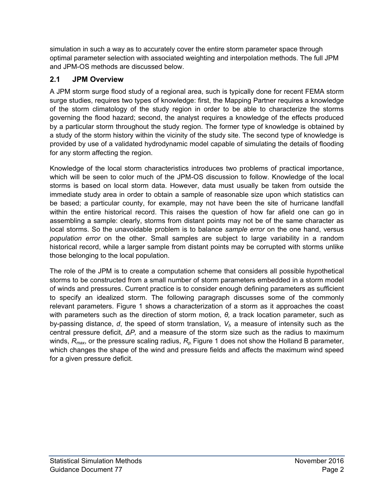simulation in such a way as to accurately cover the entire storm parameter space through optimal parameter selection with associated weighting and interpolation methods. The full JPM and JPM-OS methods are discussed below.

## <span id="page-6-0"></span>**2.1 JPM Overview**

A JPM storm surge flood study of a regional area, such is typically done for recent FEMA storm surge studies, requires two types of knowledge: first, the Mapping Partner requires a knowledge of the storm climatology of the study region in order to be able to characterize the storms governing the flood hazard; second, the analyst requires a knowledge of the effects produced by a particular storm throughout the study region. The former type of knowledge is obtained by a study of the storm history within the vicinity of the study site. The second type of knowledge is provided by use of a validated hydrodynamic model capable of simulating the details of flooding for any storm affecting the region.

Knowledge of the local storm characteristics introduces two problems of practical importance, which will be seen to color much of the JPM-OS discussion to follow. Knowledge of the local storms is based on local storm data. However, data must usually be taken from outside the immediate study area in order to obtain a sample of reasonable size upon which statistics can be based; a particular county, for example, may not have been the site of hurricane landfall within the entire historical record. This raises the question of how far afield one can go in assembling a sample: clearly, storms from distant points may not be of the same character as local storms. So the unavoidable problem is to balance *sample error* on the one hand, versus *population error* on the other. Small samples are subject to large variability in a random historical record, while a larger sample from distant points may be corrupted with storms unlike those belonging to the local population.

The role of the JPM is to create a computation scheme that considers all possible hypothetical storms to be constructed from a small number of storm parameters embedded in a storm model of winds and pressures. Current practice is to consider enough defining parameters as sufficient to specify an idealized storm. The following paragraph discusses some of the commonly relevant parameters. [Figure 1](#page-7-0) shows a characterization of a storm as it approaches the coast with parameters such as the direction of storm motion, *θ,* a track location parameter, such as by-passing distance, *d*, the speed of storm translation, *Vf,* a measure of intensity such as the central pressure deficit, *ΔP,* and a measure of the storm size such as the radius to maximum winds, *Rmax*, or the pressure scaling radius, *Rp.* Figure 1 does not show the Holland B parameter, which changes the shape of the wind and pressure fields and affects the maximum wind speed for a given pressure deficit.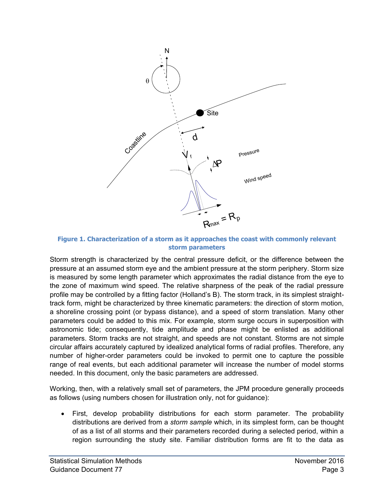

<span id="page-7-0"></span>**Figure 1. Characterization of a storm as it approaches the coast with commonly relevant storm parameters** 

Storm strength is characterized by the central pressure deficit, or the difference between the pressure at an assumed storm eye and the ambient pressure at the storm periphery. Storm size is measured by some length parameter which approximates the radial distance from the eye to the zone of maximum wind speed. The relative sharpness of the peak of the radial pressure profile may be controlled by a fitting factor (Holland's B). The storm track, in its simplest straighttrack form, might be characterized by three kinematic parameters: the direction of storm motion, a shoreline crossing point (or bypass distance), and a speed of storm translation. Many other parameters could be added to this mix. For example, storm surge occurs in superposition with astronomic tide; consequently, tide amplitude and phase might be enlisted as additional parameters. Storm tracks are not straight, and speeds are not constant. Storms are not simple circular affairs accurately captured by idealized analytical forms of radial profiles. Therefore, any number of higher-order parameters could be invoked to permit one to capture the possible range of real events, but each additional parameter will increase the number of model storms needed. In this document, only the basic parameters are addressed.

Working, then, with a relatively small set of parameters, the JPM procedure generally proceeds as follows (using numbers chosen for illustration only, not for guidance):

 First, develop probability distributions for each storm parameter. The probability distributions are derived from a *storm sample* which, in its simplest form, can be thought of as a list of all storms and their parameters recorded during a selected period, within a region surrounding the study site. Familiar distribution forms are fit to the data as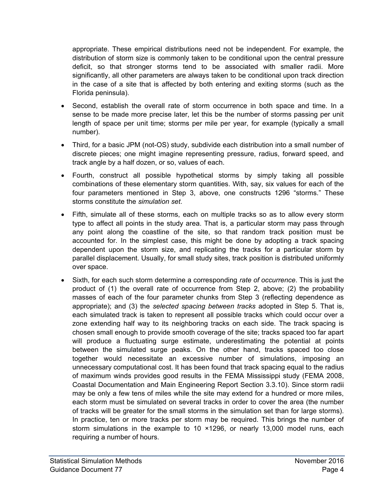appropriate. These empirical distributions need not be independent. For example, the distribution of storm size is commonly taken to be conditional upon the central pressure deficit, so that stronger storms tend to be associated with smaller radii. More significantly, all other parameters are always taken to be conditional upon track direction in the case of a site that is affected by both entering and exiting storms (such as the Florida peninsula).

- Second, establish the overall rate of storm occurrence in both space and time. In a sense to be made more precise later, let this be the number of storms passing per unit length of space per unit time; storms per mile per year, for example (typically a small number).
- Third, for a basic JPM (not-OS) study, subdivide each distribution into a small number of discrete pieces; one might imagine representing pressure, radius, forward speed, and track angle by a half dozen, or so, values of each.
- Fourth, construct all possible hypothetical storms by simply taking all possible combinations of these elementary storm quantities. With, say, six values for each of the four parameters mentioned in Step 3, above, one constructs 1296 "storms." These storms constitute the *simulation set*.
- Fifth, simulate all of these storms, each on multiple tracks so as to allow every storm type to affect all points in the study area. That is, a particular storm may pass through any point along the coastline of the site, so that random track position must be accounted for. In the simplest case, this might be done by adopting a track spacing dependent upon the storm size, and replicating the tracks for a particular storm by parallel displacement. Usually, for small study sites, track position is distributed uniformly over space.
- Sixth, for each such storm determine a corresponding *rate of occurrence*. This is just the product of (1) the overall rate of occurrence from Step 2, above; (2) the probability masses of each of the four parameter chunks from Step 3 (reflecting dependence as appropriate); and (3) the *selected spacing between tracks* adopted in Step 5. That is, each simulated track is taken to represent all possible tracks which could occur over a zone extending half way to its neighboring tracks on each side. The track spacing is chosen small enough to provide smooth coverage of the site; tracks spaced too far apart will produce a fluctuating surge estimate, underestimating the potential at points between the simulated surge peaks. On the other hand, tracks spaced too close together would necessitate an excessive number of simulations, imposing an unnecessary computational cost. It has been found that track spacing equal to the radius of maximum winds provides good results in the FEMA Mississippi study (FEMA 2008, Coastal Documentation and Main Engineering Report Section 3.3.10). Since storm radii may be only a few tens of miles while the site may extend for a hundred or more miles, each storm must be simulated on several tracks in order to cover the area (the number of tracks will be greater for the small storms in the simulation set than for large storms). In practice, ten or more tracks per storm may be required. This brings the number of storm simulations in the example to 10 ×1296, or nearly 13,000 model runs, each requiring a number of hours.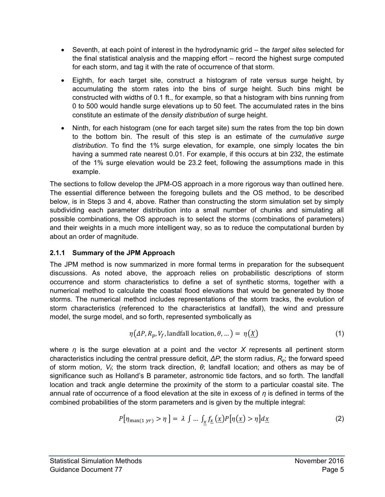- Seventh, at each point of interest in the hydrodynamic grid the *target sites* selected for the final statistical analysis and the mapping effort – record the highest surge computed for each storm, and tag it with the rate of occurrence of that storm.
- Eighth, for each target site, construct a histogram of rate versus surge height, by accumulating the storm rates into the bins of surge height. Such bins might be constructed with widths of 0.1 ft., for example, so that a histogram with bins running from 0 to 500 would handle surge elevations up to 50 feet. The accumulated rates in the bins constitute an estimate of the *density distribution* of surge height.
- Ninth, for each histogram (one for each target site) sum the rates from the top bin down to the bottom bin. The result of this step is an estimate of the *cumulative surge distribution*. To find the 1% surge elevation, for example, one simply locates the bin having a summed rate nearest 0.01. For example, if this occurs at bin 232, the estimate of the 1% surge elevation would be 23.2 feet, following the assumptions made in this example.

The sections to follow develop the JPM-OS approach in a more rigorous way than outlined here. The essential difference between the foregoing bullets and the OS method, to be described below, is in Steps 3 and 4, above. Rather than constructing the storm simulation set by simply subdividing each parameter distribution into a small number of chunks and simulating all possible combinations, the OS approach is to select the storms (combinations of parameters) and their weights in a much more intelligent way, so as to reduce the computational burden by about an order of magnitude.

## <span id="page-9-0"></span>**2.1.1 Summary of the JPM Approach**

The JPM method is now summarized in more formal terms in preparation for the subsequent discussions. As noted above, the approach relies on probabilistic descriptions of storm occurrence and storm characteristics to define a set of synthetic storms, together with a numerical method to calculate the coastal flood elevations that would be generated by those storms. The numerical method includes representations of the storm tracks, the evolution of storm characteristics (referenced to the characteristics at landfall), the wind and pressure model, the surge model, and so forth, represented symbolically as

$$
\eta(\Delta P, R_p, V_f, \text{landfall location}, \theta, \dots) = \eta(\underline{X}) \tag{1}
$$

where *η* is the surge elevation at a point and the vector *X* represents all pertinent storm characteristics including the central pressure deficit, *ΔP*; the storm radius, *Rp*; the forward speed of storm motion, *Vf*; the storm track direction, *θ*; landfall location; and others as may be of significance such as Holland's B parameter, astronomic tide factors, and so forth. The landfall location and track angle determine the proximity of the storm to a particular coastal site. The annual rate of occurrence of a flood elevation at the site in excess of *η* is defined in terms of the combined probabilities of the storm parameters and is given by the multiple integral:

$$
P[\eta_{\max(1\,yr)} > \eta] = \lambda \int \dots \int_x f_{\underline{x}}\left(\underline{x}\right) P[\eta(\underline{x}) > \eta] d\underline{x} \tag{2}
$$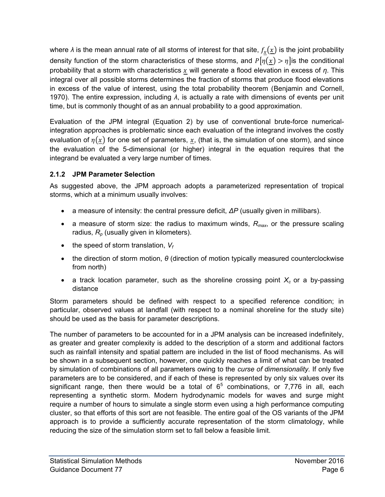where  $\lambda$  is the mean annual rate of all storms of interest for that site,  $f_x(\underline{x})$  is the joint probability density function of the storm characteristics of these storms, and  $P[\eta(x) > \eta]$  is the conditional probability that a storm with characteristics will generate a flood elevation in excess of *η*. This integral over all possible storms determines the fraction of storms that produce flood elevations in excess of the value of interest, using the total probability theorem (Benjamin and Cornell, 1970). The entire expression, including *λ*, is actually a rate with dimensions of events per unit time, but is commonly thought of as an annual probability to a good approximation.

Evaluation of the JPM integral (Equation 2) by use of conventional brute-force numericalintegration approaches is problematic since each evaluation of the integrand involves the costly evaluation of  $\eta(x)$  for one set of parameters, x, (that is, the simulation of one storm), and since the evaluation of the 5-dimensional (or higher) integral in the equation requires that the integrand be evaluated a very large number of times.

## <span id="page-10-0"></span>**2.1.2 JPM Parameter Selection**

As suggested above, the JPM approach adopts a parameterized representation of tropical storms, which at a minimum usually involves:

- a measure of intensity: the central pressure deficit, *ΔP* (usually given in millibars).
- a measure of storm size: the radius to maximum winds, *Rmax*, or the pressure scaling radius, *R<sup>p</sup>* (usually given in kilometers).
- $\bullet$  the speed of storm translation,  $V_f$
- the direction of storm motion, *θ* (direction of motion typically measured counterclockwise from north)
- a track location parameter, such as the shoreline crossing point  $X_c$  or a by-passing distance

Storm parameters should be defined with respect to a specified reference condition; in particular, observed values at landfall (with respect to a nominal shoreline for the study site) should be used as the basis for parameter descriptions.

The number of parameters to be accounted for in a JPM analysis can be increased indefinitely, as greater and greater complexity is added to the description of a storm and additional factors such as rainfall intensity and spatial pattern are included in the list of flood mechanisms. As will be shown in a subsequent section, however, one quickly reaches a limit of what can be treated by simulation of combinations of all parameters owing to the *curse of dimensionality.* If only five parameters are to be considered, and if each of these is represented by only six values over its significant range, then there would be a total of  $6<sup>5</sup>$  combinations, or 7,776 in all, each representing a synthetic storm. Modern hydrodynamic models for waves and surge might require a number of hours to simulate a single storm even using a high performance computing cluster, so that efforts of this sort are not feasible. The entire goal of the OS variants of the JPM approach is to provide a sufficiently accurate representation of the storm climatology, while reducing the size of the simulation storm set to fall below a feasible limit.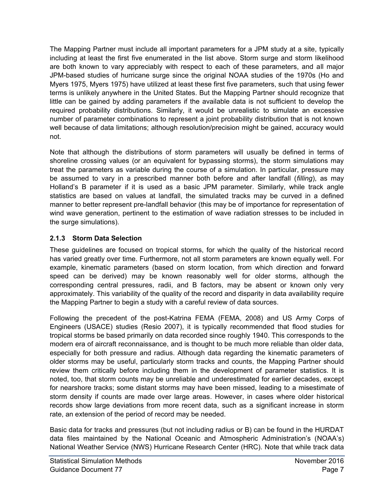The Mapping Partner must include all important parameters for a JPM study at a site, typically including at least the first five enumerated in the list above. Storm surge and storm likelihood are both known to vary appreciably with respect to each of these parameters, and all major JPM-based studies of hurricane surge since the original NOAA studies of the 1970s (Ho and Myers 1975, Myers 1975) have utilized at least these first five parameters, such that using fewer terms is unlikely anywhere in the United States. But the Mapping Partner should recognize that little can be gained by adding parameters if the available data is not sufficient to develop the required probability distributions. Similarly, it would be unrealistic to simulate an excessive number of parameter combinations to represent a joint probability distribution that is not known well because of data limitations; although resolution/precision might be gained, accuracy would not.

Note that although the distributions of storm parameters will usually be defined in terms of shoreline crossing values (or an equivalent for bypassing storms), the storm simulations may treat the parameters as variable during the course of a simulation. In particular, pressure may be assumed to vary in a prescribed manner both before and after landfall (*filling*), as may Holland's B parameter if it is used as a basic JPM parameter. Similarly, while track angle statistics are based on values at landfall, the simulated tracks may be curved in a defined manner to better represent pre-landfall behavior (this may be of importance for representation of wind wave generation, pertinent to the estimation of wave radiation stresses to be included in the surge simulations).

## <span id="page-11-0"></span>**2.1.3 Storm Data Selection**

These guidelines are focused on tropical storms, for which the quality of the historical record has varied greatly over time. Furthermore, not all storm parameters are known equally well. For example, kinematic parameters (based on storm location, from which direction and forward speed can be derived) may be known reasonably well for older storms, although the corresponding central pressures, radii, and B factors, may be absent or known only very approximately. This variability of the quality of the record and disparity in data availability require the Mapping Partner to begin a study with a careful review of data sources.

Following the precedent of the post-Katrina FEMA (FEMA, 2008) and US Army Corps of Engineers (USACE) studies (Resio 2007), it is typically recommended that flood studies for tropical storms be based primarily on data recorded since roughly 1940. This corresponds to the modern era of aircraft reconnaissance, and is thought to be much more reliable than older data, especially for both pressure and radius. Although data regarding the kinematic parameters of older storms may be useful, particularly storm tracks and counts, the Mapping Partner should review them critically before including them in the development of parameter statistics. It is noted, too, that storm counts may be unreliable and underestimated for earlier decades, except for nearshore tracks; some distant storms may have been missed, leading to a misestimate of storm density if counts are made over large areas. However, in cases where older historical records show large deviations from more recent data, such as a significant increase in storm rate, an extension of the period of record may be needed.

Basic data for tracks and pressures (but not including radius or B) can be found in the HURDAT data files maintained by the National Oceanic and Atmospheric Administration's (NOAA's) National Weather Service (NWS) Hurricane Research Center (HRC). Note that while track data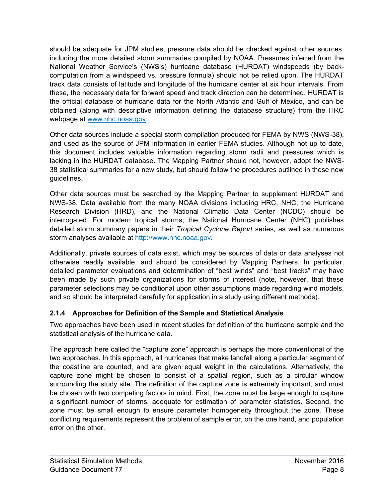should be adequate for JPM studies, pressure data should be checked against other sources, including the more detailed storm summaries compiled by NOAA. Pressures inferred from the National Weather Service's (NWS's) hurricane database (HURDAT) windspeeds (by backcomputation from a windspeed vs. pressure formula) should not be relied upon. The HURDAT track data consists of latitude and longitude of the hurricane center at six hour intervals. From these, the necessary data for forward speed and track direction can be determined. HURDAT is the official database of hurricane data for the North Atlantic and Gulf of Mexico, and can be obtained (along with descriptive information defining the database structure) from the HRC webpage at [www.nhc.noaa.gov.](http://www.nhc.noaa.gov/)

Other data sources include a special storm compilation produced for FEMA by NWS (NWS-38), and used as the source of JPM information in earlier FEMA studies. Although not up to date, this document includes valuable information regarding storm radii and pressures which is lacking in the HURDAT database. The Mapping Partner should not, however, adopt the NWS-38 statistical summaries for a new study, but should follow the procedures outlined in these new guidelines.

Other data sources must be searched by the Mapping Partner to supplement HURDAT and NWS-38. Data available from the many NOAA divisions including HRC, NHC, the Hurricane Research Division (HRD), and the National Climatic Data Center (NCDC) should be interrogated. For modern tropical storms, the National Hurricane Center (NHC) publishes detailed storm summary papers in their *Tropical Cyclone Report* series, as well as numerous storm analyses available at [http://www.nhc.noaa.gov.](http://www.nhc.noaa.gov/index.shtml)

Additionally, private sources of data exist, which may be sources of data or data analyses not otherwise readily available, and should be considered by Mapping Partners. In particular, detailed parameter evaluations and determination of "best winds" and "best tracks" may have been made by such private organizations for storms of interest (note, however, that these parameter selections may be conditional upon other assumptions made regarding wind models, and so should be interpreted carefully for application in a study using different methods).

## <span id="page-12-0"></span>**2.1.4 Approaches for Definition of the Sample and Statistical Analysis**

Two approaches have been used in recent studies for definition of the hurricane sample and the statistical analysis of the hurricane data.

The approach here called the "capture zone" approach is perhaps the more conventional of the two approaches. In this approach, all hurricanes that make landfall along a particular segment of the coastline are counted, and are given equal weight in the calculations. Alternatively, the capture zone might be chosen to consist of a spatial region, such as a circular window surrounding the study site. The definition of the capture zone is extremely important, and must be chosen with two competing factors in mind. First, the zone must be large enough to capture a significant number of storms, adequate for estimation of parameter statistics. Second, the zone must be small enough to ensure parameter homogeneity throughout the zone. These conflicting requirements represent the problem of sample error, on the one hand, and population error on the other.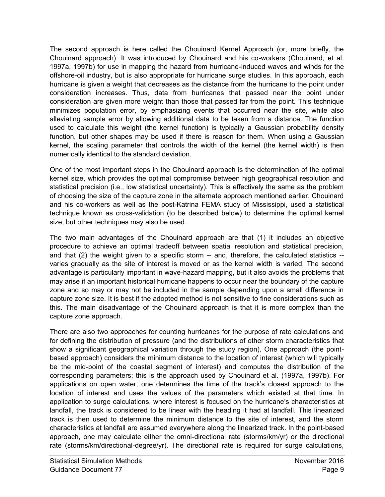The second approach is here called the Chouinard Kernel Approach (or, more briefly, the Chouinard approach). It was introduced by Chouinard and his co-workers (Chouinard, et al, 1997a, 1997b) for use in mapping the hazard from hurricane-induced waves and winds for the offshore-oil industry, but is also appropriate for hurricane surge studies. In this approach, each hurricane is given a weight that decreases as the distance from the hurricane to the point under consideration increases. Thus, data from hurricanes that passed near the point under consideration are given more weight than those that passed far from the point. This technique minimizes population error, by emphasizing events that occurred near the site, while also alleviating sample error by allowing additional data to be taken from a distance. The function used to calculate this weight (the kernel function) is typically a Gaussian probability density function, but other shapes may be used if there is reason for them. When using a Gaussian kernel, the scaling parameter that controls the width of the kernel (the kernel width) is then numerically identical to the standard deviation.

One of the most important steps in the Chouinard approach is the determination of the optimal kernel size, which provides the optimal compromise between high geographical resolution and statistical precision (i.e., low statistical uncertainty). This is effectively the same as the problem of choosing the size of the capture zone in the alternate approach mentioned earlier. Chouinard and his co-workers as well as the post-Katrina FEMA study of Mississippi, used a statistical technique known as cross-validation (to be described below) to determine the optimal kernel size, but other techniques may also be used.

The two main advantages of the Chouinard approach are that (1) it includes an objective procedure to achieve an optimal tradeoff between spatial resolution and statistical precision, and that (2) the weight given to a specific storm -- and, therefore, the calculated statistics - varies gradually as the site of interest is moved or as the kernel width is varied. The second advantage is particularly important in wave-hazard mapping, but it also avoids the problems that may arise if an important historical hurricane happens to occur near the boundary of the capture zone and so may or may not be included in the sample depending upon a small difference in capture zone size. It is best if the adopted method is not sensitive to fine considerations such as this. The main disadvantage of the Chouinard approach is that it is more complex than the capture zone approach.

There are also two approaches for counting hurricanes for the purpose of rate calculations and for defining the distribution of pressure (and the distributions of other storm characteristics that show a significant geographical variation through the study region). One approach (the pointbased approach) considers the minimum distance to the location of interest (which will typically be the mid-point of the coastal segment of interest) and computes the distribution of the corresponding parameters; this is the approach used by Chouinard et al. (1997a, 1997b). For applications on open water, one determines the time of the track's closest approach to the location of interest and uses the values of the parameters which existed at that time. In application to surge calculations, where interest is focused on the hurricane's characteristics at landfall, the track is considered to be linear with the heading it had at landfall. This linearized track is then used to determine the minimum distance to the site of interest, and the storm characteristics at landfall are assumed everywhere along the linearized track. In the point-based approach, one may calculate either the omni-directional rate (storms/km/yr) or the directional rate (storms/km/directional-degree/yr). The directional rate is required for surge calculations,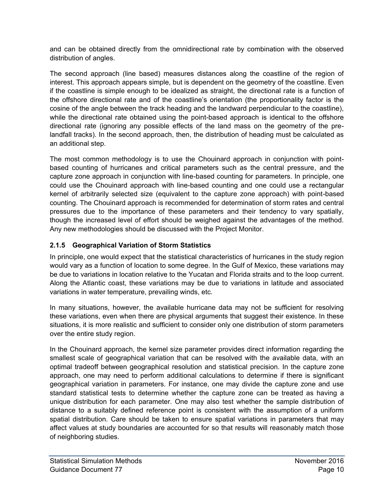and can be obtained directly from the omnidirectional rate by combination with the observed distribution of angles.

The second approach (line based) measures distances along the coastline of the region of interest. This approach appears simple, but is dependent on the geometry of the coastline. Even if the coastline is simple enough to be idealized as straight, the directional rate is a function of the offshore directional rate and of the coastline's orientation (the proportionality factor is the cosine of the angle between the track heading and the landward perpendicular to the coastline), while the directional rate obtained using the point-based approach is identical to the offshore directional rate (ignoring any possible effects of the land mass on the geometry of the prelandfall tracks). In the second approach, then, the distribution of heading must be calculated as an additional step.

The most common methodology is to use the Chouinard approach in conjunction with pointbased counting of hurricanes and critical parameters such as the central pressure, and the capture zone approach in conjunction with line-based counting for parameters. In principle, one could use the Chouinard approach with line-based counting and one could use a rectangular kernel of arbitrarily selected size (equivalent to the capture zone approach) with point-based counting. The Chouinard approach is recommended for determination of storm rates and central pressures due to the importance of these parameters and their tendency to vary spatially, though the increased level of effort should be weighed against the advantages of the method. Any new methodologies should be discussed with the Project Monitor.

#### <span id="page-14-0"></span>**2.1.5 Geographical Variation of Storm Statistics**

In principle, one would expect that the statistical characteristics of hurricanes in the study region would vary as a function of location to some degree. In the Gulf of Mexico, these variations may be due to variations in location relative to the Yucatan and Florida straits and to the loop current. Along the Atlantic coast, these variations may be due to variations in latitude and associated variations in water temperature, prevailing winds, etc.

In many situations, however, the available hurricane data may not be sufficient for resolving these variations, even when there are physical arguments that suggest their existence. In these situations, it is more realistic and sufficient to consider only one distribution of storm parameters over the entire study region.

In the Chouinard approach, the kernel size parameter provides direct information regarding the smallest scale of geographical variation that can be resolved with the available data, with an optimal tradeoff between geographical resolution and statistical precision. In the capture zone approach, one may need to perform additional calculations to determine if there is significant geographical variation in parameters. For instance, one may divide the capture zone and use standard statistical tests to determine whether the capture zone can be treated as having a unique distribution for each parameter. One may also test whether the sample distribution of distance to a suitably defined reference point is consistent with the assumption of a uniform spatial distribution. Care should be taken to ensure spatial variations in parameters that may affect values at study boundaries are accounted for so that results will reasonably match those of neighboring studies.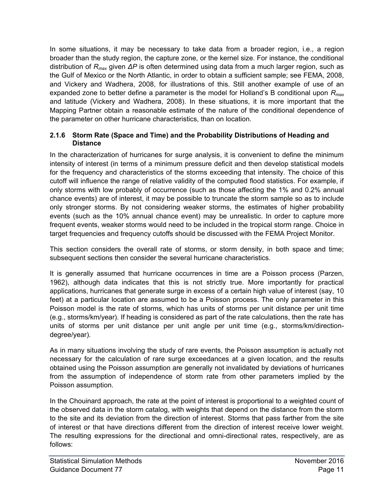In some situations, it may be necessary to take data from a broader region, i.e., a region broader than the study region, the capture zone, or the kernel size. For instance, the conditional distribution of *Rmax* given *ΔP* is often determined using data from a much larger region, such as the Gulf of Mexico or the North Atlantic, in order to obtain a sufficient sample; see FEMA, 2008, and Vickery and Wadhera, 2008, for illustrations of this. Still another example of use of an expanded zone to better define a parameter is the model for Holland's B conditional upon *Rmax* and latitude (Vickery and Wadhera, 2008). In these situations, it is more important that the Mapping Partner obtain a reasonable estimate of the nature of the conditional dependence of the parameter on other hurricane characteristics, than on location.

#### <span id="page-15-0"></span>**2.1.6 Storm Rate (Space and Time) and the Probability Distributions of Heading and Distance**

In the characterization of hurricanes for surge analysis, it is convenient to define the minimum intensity of interest (in terms of a minimum pressure deficit and then develop statistical models for the frequency and characteristics of the storms exceeding that intensity. The choice of this cutoff will influence the range of relative validity of the computed flood statistics. For example, if only storms with low probably of occurrence (such as those affecting the 1% and 0.2% annual chance events) are of interest, it may be possible to truncate the storm sample so as to include only stronger storms. By not considering weaker storms, the estimates of higher probability events (such as the 10% annual chance event) may be unrealistic. In order to capture more frequent events, weaker storms would need to be included in the tropical storm range. Choice in target frequencies and frequency cutoffs should be discussed with the FEMA Project Monitor.

This section considers the overall rate of storms, or storm density, in both space and time; subsequent sections then consider the several hurricane characteristics.

It is generally assumed that hurricane occurrences in time are a Poisson process (Parzen, 1962), although data indicates that this is not strictly true. More importantly for practical applications, hurricanes that generate surge in excess of a certain high value of interest (say, 10 feet) at a particular location are assumed to be a Poisson process. The only parameter in this Poisson model is the rate of storms, which has units of storms per unit distance per unit time (e.g., storms/km/year). If heading is considered as part of the rate calculations, then the rate has units of storms per unit distance per unit angle per unit time (e.g., storms/km/directiondegree/year).

As in many situations involving the study of rare events, the Poisson assumption is actually not necessary for the calculation of rare surge exceedances at a given location, and the results obtained using the Poisson assumption are generally not invalidated by deviations of hurricanes from the assumption of independence of storm rate from other parameters implied by the Poisson assumption.

In the Chouinard approach, the rate at the point of interest is proportional to a weighted count of the observed data in the storm catalog, with weights that depend on the distance from the storm to the site and its deviation from the direction of interest. Storms that pass farther from the site of interest or that have directions different from the direction of interest receive lower weight. The resulting expressions for the directional and omni-directional rates, respectively, are as follows: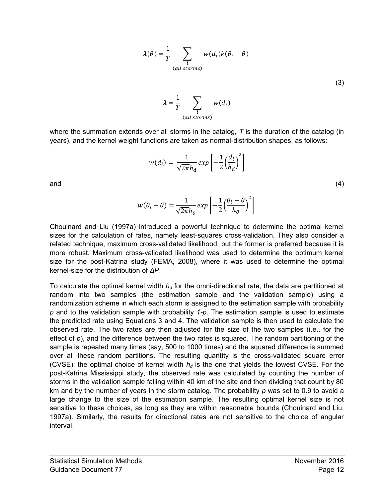$$
\lambda(\theta) = \frac{1}{T} \sum_{\substack{i \\ (all~sforms)}} w(d_i) k(\theta_i - \theta)
$$

(3)

 $\lambda =$ 1  $\frac{1}{T}$   $\sum$   $w(d_i)$ i  $(alI~storms)$ 

where the summation extends over all storms in the catalog, *T* is the duration of the catalog (in years), and the kernel weight functions are taken as normal-distribution shapes, as follows:

$$
w(d_i) = \frac{1}{\sqrt{2\pi}h_d} \exp\left[-\frac{1}{2}\left(\frac{d_i}{h_d}\right)^2\right]
$$
\n(4)

]

and

Chouinard and Liu (1997a) introduced a powerful technique to determine the optimal kernel sizes for the calculation of rates, namely least-squares cross-validation. They also consider a related technique, maximum cross-validated likelihood, but the former is preferred because it is more robust. Maximum cross-validated likelihood was used to determine the optimum kernel size for the post-Katrina study (FEMA, 2008), where it was used to determine the optimal kernel-size for the distribution of 
$$
\Delta P
$$
.

 $\exp|-\rangle$ 

1

 $\frac{1}{2} \left( \frac{\theta_i - \theta}{h_{\theta}} \right)$  $\frac{1}{h_{\theta}}$ 

 $\sqrt{2\pi} h_\theta$ 

 $w(\theta_i - \theta) = \frac{1}{\sqrt{2}}$ 

To calculate the optimal kernel width *hd* for the omni-directional rate, the data are partitioned at random into two samples (the estimation sample and the validation sample) using a randomization scheme in which each storm is assigned to the estimation sample with probability *p* and to the validation sample with probability *1-p*. The estimation sample is used to estimate the predicted rate using Equations 3 and 4. The validation sample is then used to calculate the observed rate. The two rates are then adjusted for the size of the two samples (i.e., for the effect of  $p$ ), and the difference between the two rates is squared. The random partitioning of the sample is repeated many times (say, 500 to 1000 times) and the squared difference is summed over all these random partitions. The resulting quantity is the cross-validated square error (CVSE); the optimal choice of kernel width  $h_d$  is the one that yields the lowest CVSE. For the post-Katrina Mississippi study, the observed rate was calculated by counting the number of storms in the validation sample falling within 40 km of the site and then dividing that count by 80 km and by the number of years in the storm catalog. The probability *p* was set to 0.9 to avoid a large change to the size of the estimation sample. The resulting optimal kernel size is not sensitive to these choices, as long as they are within reasonable bounds (Chouinard and Liu, 1997a). Similarly, the results for directional rates are not sensitive to the choice of angular interval.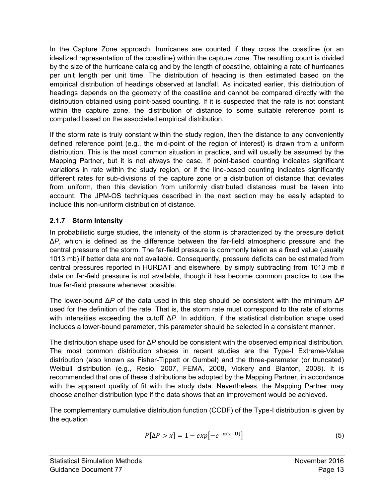In the Capture Zone approach, hurricanes are counted if they cross the coastline (or an idealized representation of the coastline) within the capture zone. The resulting count is divided by the size of the hurricane catalog and by the length of coastline, obtaining a rate of hurricanes per unit length per unit time. The distribution of heading is then estimated based on the empirical distribution of headings observed at landfall. As indicated earlier, this distribution of headings depends on the geometry of the coastline and cannot be compared directly with the distribution obtained using point-based counting. If it is suspected that the rate is not constant within the capture zone, the distribution of distance to some suitable reference point is computed based on the associated empirical distribution.

If the storm rate is truly constant within the study region, then the distance to any conveniently defined reference point (e.g., the mid-point of the region of interest) is drawn from a uniform distribution. This is the most common situation in practice, and will usually be assumed by the Mapping Partner, but it is not always the case. If point-based counting indicates significant variations in rate within the study region, or if the line-based counting indicates significantly different rates for sub-divisions of the capture zone or a distribution of distance that deviates from uniform, then this deviation from uniformly distributed distances must be taken into account. The JPM-OS techniques described in the next section may be easily adapted to include this non-uniform distribution of distance.

## <span id="page-17-0"></span>**2.1.7 Storm Intensity**

In probabilistic surge studies, the intensity of the storm is characterized by the pressure deficit Δ*P*, which is defined as the difference between the far-field atmospheric pressure and the central pressure of the storm. The far-field pressure is commonly taken as a fixed value (usually 1013 mb) if better data are not available. Consequently, pressure deficits can be estimated from central pressures reported in HURDAT and elsewhere, by simply subtracting from 1013 mb if data on far-field pressure is not available, though it has become common practice to use the true far-field pressure whenever possible.

The lower-bound Δ*P* of the data used in this step should be consistent with the minimum Δ*P*  used for the definition of the rate. That is, the storm rate must correspond to the rate of storms with intensities exceeding the cutoff Δ*P*. In addition, if the statistical distribution shape used includes a lower-bound parameter, this parameter should be selected in a consistent manner.

The distribution shape used for Δ*P* should be consistent with the observed empirical distribution. The most common distribution shapes in recent studies are the Type-I Extreme-Value distribution (also known as Fisher-Tippett or Gumbel) and the three-parameter (or truncated) Weibull distribution (e.g., Resio, 2007, FEMA, 2008, Vickery and Blanton, 2008). It is recommended that one of these distributions be adopted by the Mapping Partner, in accordance with the apparent quality of fit with the study data. Nevertheless, the Mapping Partner may choose another distribution type if the data shows that an improvement would be achieved.

The complementary cumulative distribution function (CCDF) of the Type-I distribution is given by the equation

$$
P[\Delta P > x] = 1 - exp[-e^{-\alpha(x-U)}]
$$
\n(5)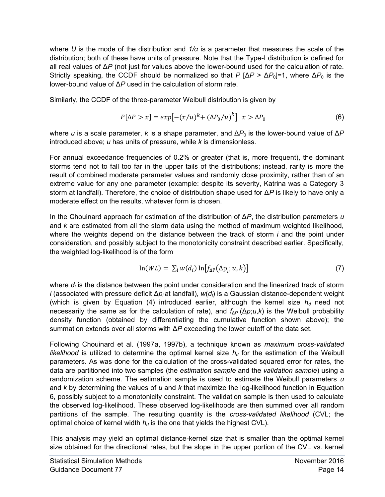where *U* is the mode of the distribution and *1/α* is a parameter that measures the scale of the distribution; both of these have units of pressure. Note that the Type-I distribution is defined for all real values of Δ*P* (not just for values above the lower-bound used for the calculation of rate. Strictly speaking, the CCDF should be normalized so that *P* [Δ*P* > Δ*P*0]=1, where Δ*P*0 is the lower-bound value of Δ*P* used in the calculation of storm rate.

Similarly, the CCDF of the three-parameter Weibull distribution is given by

$$
P[\Delta P > x] = exp[-(x/u)^{k} + (\Delta P_0/u)^{k}] \quad x > \Delta P_0
$$
\n(6)

where *u* is a scale parameter, *k* is a shape parameter, and  $\Delta P_0$  is the lower-bound value of  $\Delta P$ introduced above; *u* has units of pressure, while *k* is dimensionless.

For annual exceedance frequencies of 0.2% or greater (that is, more frequent), the dominant storms tend not to fall too far in the upper tails of the distributions; instead, rarity is more the result of combined moderate parameter values and randomly close proximity, rather than of an extreme value for any one parameter (example: despite its severity, Katrina was a Category 3 storm at landfall). Therefore, the choice of distribution shape used for Δ*P* is likely to have only a moderate effect on the results, whatever form is chosen.

In the Chouinard approach for estimation of the distribution of Δ*P*, the distribution parameters *u*  and *k* are estimated from all the storm data using the method of maximum weighted likelihood, where the weights depend on the distance between the track of storm *i* and the point under consideration, and possibly subject to the monotonicity constraint described earlier. Specifically, the weighted log-likelihood is of the form

$$
\ln(WL) = \sum_{i} w(d_i) \ln[f_{\Delta P}(\Delta p_i; u, k)] \tag{7}
$$

where  $d_i$  is the distance between the point under consideration and the linearized track of storm *i* (associated with pressure deficit Δ*pi* at landfall), *w*(*dl*) is a Gaussian distance-dependent weight (which is given by Equation (4) introduced earlier, although the kernel size  $h_d$  need not necessarily the same as for the calculation of rate), and  $f_{\Delta P}(\Delta p; u, k)$  is the Weibull probability density function (obtained by differentiating the cumulative function shown above); the summation extends over all storms with Δ*P* exceeding the lower cutoff of the data set.

Following Chouinard et al. (1997a, 1997b), a technique known as *maximum cross-validated likelihood* is utilized to determine the optimal kernel size  $h_d$  for the estimation of the Weibull parameters. As was done for the calculation of the cross-validated squared error for rates, the data are partitioned into two samples (the *estimation sample* and the *validation sample*) using a randomization scheme. The estimation sample is used to estimate the Weibull parameters *u*  and *k* by determining the values of *u* and *k* that maximize the log-likelihood function in Equation 6, possibly subject to a monotonicity constraint. The validation sample is then used to calculate the observed log-likelihood. These observed log-likelihoods are then summed over all random partitions of the sample. The resulting quantity is the *cross-validated likelihood* (CVL; the optimal choice of kernel width  $h_d$  is the one that yields the highest CVL).

This analysis may yield an optimal distance-kernel size that is smaller than the optimal kernel size obtained for the directional rates, but the slope in the upper portion of the CVL vs. kernel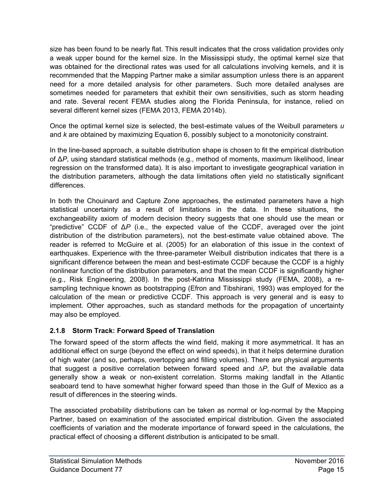size has been found to be nearly flat. This result indicates that the cross validation provides only a weak upper bound for the kernel size. In the Mississippi study, the optimal kernel size that was obtained for the directional rates was used for all calculations involving kernels, and it is recommended that the Mapping Partner make a similar assumption unless there is an apparent need for a more detailed analysis for other parameters. Such more detailed analyses are sometimes needed for parameters that exhibit their own sensitivities, such as storm heading and rate. Several recent FEMA studies along the Florida Peninsula, for instance, relied on several different kernel sizes (FEMA 2013, FEMA 2014b).

Once the optimal kernel size is selected, the best-estimate values of the Weibull parameters *u*  and *k* are obtained by maximizing Equation 6, possibly subject to a monotonicity constraint.

In the line-based approach, a suitable distribution shape is chosen to fit the empirical distribution of Δ*P*, using standard statistical methods (e.g., method of moments, maximum likelihood, linear regression on the transformed data). It is also important to investigate geographical variation in the distribution parameters, although the data limitations often yield no statistically significant differences.

In both the Chouinard and Capture Zone approaches, the estimated parameters have a high statistical uncertainty as a result of limitations in the data. In these situations, the exchangeability axiom of modern decision theory suggests that one should use the mean or "predictive" CCDF of Δ*P* (i.e., the expected value of the CCDF, averaged over the joint distribution of the distribution parameters), not the best-estimate value obtained above. The reader is referred to McGuire et al. (2005) for an elaboration of this issue in the context of earthquakes. Experience with the three-parameter Weibull distribution indicates that there is a significant difference between the mean and best-estimate CCDF because the CCDF is a highly nonlinear function of the distribution parameters, and that the mean CCDF is significantly higher (e.g., Risk Engineering, 2008). In the post-Katrina Mississippi study (FEMA, 2008), a resampling technique known as bootstrapping (Efron and Tibshirani, 1993) was employed for the calculation of the mean or predictive CCDF. This approach is very general and is easy to implement. Other approaches, such as standard methods for the propagation of uncertainty may also be employed.

#### <span id="page-19-0"></span>**2.1.8 Storm Track: Forward Speed of Translation**

The forward speed of the storm affects the wind field, making it more asymmetrical. It has an additional effect on surge (beyond the effect on wind speeds), in that it helps determine duration of high water (and so, perhaps, overtopping and filling volumes). There are physical arguments that suggest a positive correlation between forward speed and *∆P*, but the available data generally show a weak or non-existent correlation. Storms making landfall in the Atlantic seaboard tend to have somewhat higher forward speed than those in the Gulf of Mexico as a result of differences in the steering winds.

The associated probability distributions can be taken as normal or log-normal by the Mapping Partner, based on examination of the associated empirical distribution. Given the associated coefficients of variation and the moderate importance of forward speed in the calculations, the practical effect of choosing a different distribution is anticipated to be small.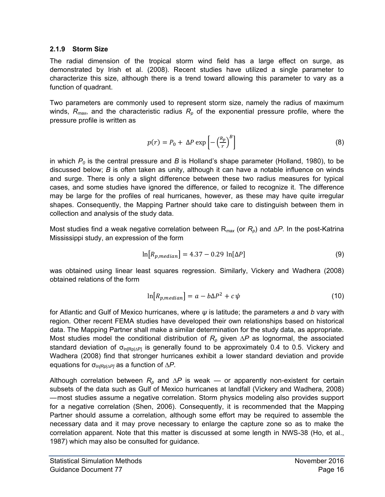#### <span id="page-20-0"></span>**2.1.9 Storm Size**

The radial dimension of the tropical storm wind field has a large effect on surge, as demonstrated by Irish et al. (2008). Recent studies have utilized a single parameter to characterize this size, although there is a trend toward allowing this parameter to vary as a function of quadrant.

Two parameters are commonly used to represent storm size, namely the radius of maximum winds,  $R_{max}$ , and the characteristic radius  $R_p$  of the exponential pressure profile, where the pressure profile is written as

$$
p(r) = P_0 + \Delta P \exp\left[-\left(\frac{R_p}{r}\right)^B\right]
$$
 (8)

in which *P0* is the central pressure and *B* is Holland's shape parameter (Holland, 1980), to be discussed below; *B* is often taken as unity, although it can have a notable influence on winds and surge. There is only a slight difference between these two radius measures for typical cases, and some studies have ignored the difference, or failed to recognize it. The difference may be large for the profiles of real hurricanes, however, as these may have quite irregular shapes. Consequently, the Mapping Partner should take care to distinguish between them in collection and analysis of the study data.

Most studies find a weak negative correlation between R*max* (or *Rp*) and *∆P*. In the post-Katrina Mississippi study, an expression of the form

$$
\ln[R_{p,median}] = 4.37 - 0.29 \ln[\Delta P] \tag{9}
$$

was obtained using linear least squares regression. Similarly, Vickery and Wadhera (2008) obtained relations of the form

$$
\ln[R_{p,median}] = a - b\Delta P^2 + c\,\psi\tag{10}
$$

for Atlantic and Gulf of Mexico hurricanes, where *ψ* is latitude; the parameters *a* and *b* vary with region. Other recent FEMA studies have developed their own relationships based on historical data. The Mapping Partner shall make a similar determination for the study data, as appropriate. Most studies model the conditional distribution of  $R_p$  given  $\Delta P$  as lognormal, the associated standard deviation of  $\sigma_{ln[Rp]\Delta P]}$  is generally found to be approximately 0.4 to 0.5. Vickery and Wadhera (2008) find that stronger hurricanes exhibit a lower standard deviation and provide equations for σ*ln[Rp|∆P]* as a function of *∆P*.

Although correlation between *Rp* and *∆P* is weak — or apparently non-existent for certain subsets of the data such as Gulf of Mexico hurricanes at landfall (Vickery and Wadhera, 2008) — most studies assume a negative correlation. Storm physics modeling also provides support for a negative correlation (Shen, 2006). Consequently, it is recommended that the Mapping Partner should assume a correlation, although some effort may be required to assemble the necessary data and it may prove necessary to enlarge the capture zone so as to make the correlation apparent. Note that this matter is discussed at some length in NWS-38 (Ho, et al., 1987) which may also be consulted for guidance.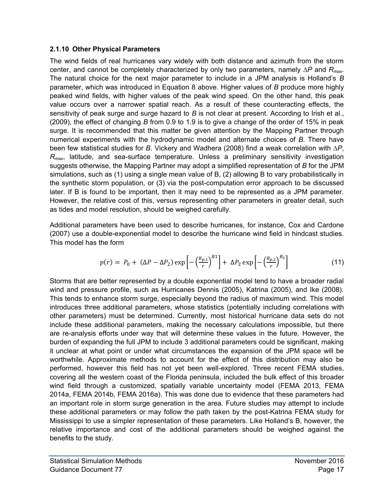#### <span id="page-21-0"></span>**2.1.10 Other Physical Parameters**

The wind fields of real hurricanes vary widely with both distance and azimuth from the storm center, and cannot be completely characterized by only two parameters, namely *∆P* and *Rmax*. The natural choice for the next major parameter to include in a JPM analysis is Holland's *B* parameter, which was introduced in Equation 8 above. Higher values of *B* produce more highly peaked wind fields, with higher values of the peak wind speed. On the other hand, this peak value occurs over a narrower spatial reach. As a result of these counteracting effects, the sensitivity of peak surge and surge hazard to *B* is not clear at present. According to Irish et al., (2009), the effect of changing *B* from 0.9 to 1.9 is to give a change of the order of 15% in peak surge. It is recommended that this matter be given attention by the Mapping Partner through numerical experiments with the hydrodynamic model and alternate choices of *B*. There have been few statistical studies for *B*. Vickery and Wadhera (2008) find a weak correlation with *∆P*, *Rmax*, latitude, and sea-surface temperature. Unless a preliminary sensitivity investigation suggests otherwise, the Mapping Partner may adopt a simplified representation of *B* for the JPM simulations, such as (1) using a single mean value of B, (2) allowing B to vary probabilistically in the synthetic storm population, or (3) via the post-computation error approach to be discussed later. If B is found to be important, then it may need to be represented as a JPM parameter. However, the relative cost of this, versus representing other parameters in greater detail, such as tides and model resolution, should be weighed carefully.

Additional parameters have been used to describe hurricanes, for instance, Cox and Cardone (2007) use a double-exponential model to describe the hurricane wind field in hindcast studies. This model has the form

$$
p(r) = P_0 + (\Delta P - \Delta P_2) \exp\left[-\left(\frac{R_{p,1}}{r}\right)^{B_1}\right] + \Delta P_2 \exp\left[-\left(\frac{R_{p,2}}{r}\right)^{B_2}\right]
$$
(11)

Storms that are better represented by a double exponential model tend to have a broader radial wind and pressure profile, such as Hurricanes Dennis (2005), Katrina (2005), and Ike (2008). This tends to enhance storm surge, especially beyond the radius of maximum wind. This model introduces three additional parameters, whose statistics (potentially including correlations with other parameters) must be determined. Currently, most historical hurricane data sets do not include these additional parameters, making the necessary calculations impossible, but there are re-analysis efforts under way that will determine these values in the future. However, the burden of expanding the full JPM to include 3 additional parameters could be significant, making it unclear at what point or under what circumstances the expansion of the JPM space will be worthwhile. Approximate methods to account for the effect of this distribution may also be performed, however this field has not yet been well-explored. Three recent FEMA studies, covering all the western coast of the Florida peninsula, included the bulk effect of this broader wind field through a customized, spatially variable uncertainty model (FEMA 2013, FEMA 2014a, FEMA 2014b, FEMA 2016a). This was done due to evidence that these parameters had an important role in storm surge generation in the area. Future studies may attempt to include these additional parameters or may follow the path taken by the post-Katrina FEMA study for Mississippi to use a simpler representation of these parameters. Like Holland's B, however, the relative importance and cost of the additional parameters should be weighed against the benefits to the study.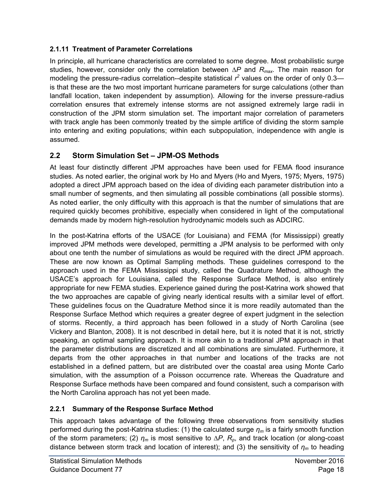## <span id="page-22-0"></span>**2.1.11 Treatment of Parameter Correlations**

In principle, all hurricane characteristics are correlated to some degree. Most probabilistic surge studies, however, consider only the correlation between *∆P* and *Rmax*. The main reason for modeling the pressure-radius correlation--despite statistical  $r^2$  values on the order of only 0.3 is that these are the two most important hurricane parameters for surge calculations (other than landfall location, taken independent by assumption). Allowing for the inverse pressure-radius correlation ensures that extremely intense storms are not assigned extremely large radii in construction of the JPM storm simulation set. The important major correlation of parameters with track angle has been commonly treated by the simple artifice of dividing the storm sample into entering and exiting populations; within each subpopulation, independence with angle is assumed.

## <span id="page-22-1"></span>**2.2 Storm Simulation Set – JPM-OS Methods**

At least four distinctly different JPM approaches have been used for FEMA flood insurance studies. As noted earlier, the original work by Ho and Myers (Ho and Myers, 1975; Myers, 1975) adopted a direct JPM approach based on the idea of dividing each parameter distribution into a small number of segments, and then simulating all possible combinations (all possible storms). As noted earlier, the only difficulty with this approach is that the number of simulations that are required quickly becomes prohibitive, especially when considered in light of the computational demands made by modern high-resolution hydrodynamic models such as ADCIRC.

In the post-Katrina efforts of the USACE (for Louisiana) and FEMA (for Mississippi) greatly improved JPM methods were developed, permitting a JPM analysis to be performed with only about one tenth the number of simulations as would be required with the direct JPM approach. These are now known as Optimal Sampling methods. These guidelines correspond to the approach used in the FEMA Mississippi study, called the Quadrature Method, although the USACE's approach for Louisiana, called the Response Surface Method, is also entirely appropriate for new FEMA studies. Experience gained during the post-Katrina work showed that the two approaches are capable of giving nearly identical results with a similar level of effort. These guidelines focus on the Quadrature Method since it is more readily automated than the Response Surface Method which requires a greater degree of expert judgment in the selection of storms. Recently, a third approach has been followed in a study of North Carolina (see Vickery and Blanton, 2008). It is not described in detail here, but it is noted that it is not, strictly speaking, an optimal sampling approach. It is more akin to a traditional JPM approach in that the parameter distributions are discretized and all combinations are simulated. Furthermore, it departs from the other approaches in that number and locations of the tracks are not established in a defined pattern, but are distributed over the coastal area using Monte Carlo simulation, with the assumption of a Poisson occurrence rate. Whereas the Quadrature and Response Surface methods have been compared and found consistent, such a comparison with the North Carolina approach has not yet been made.

## <span id="page-22-2"></span>**2.2.1 Summary of the Response Surface Method**

This approach takes advantage of the following three observations from sensitivity studies performed during the post-Katrina studies: (1) the calculated surge *ηm* is a fairly smooth function of the storm parameters; (2) *ηm* is most sensitive to *∆P*, *Rp*, and track location (or along-coast distance between storm track and location of interest); and (3) the sensitivity of *ηm* to heading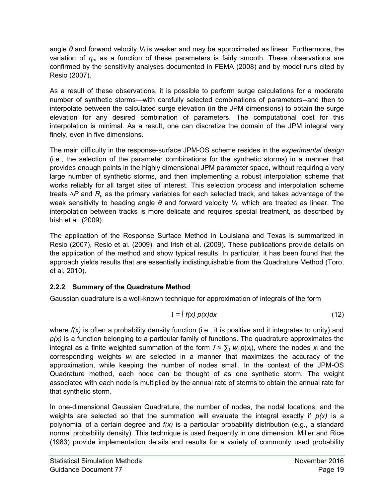angle *θ* and forward velocity *Vf* is weaker and may be approximated as linear. Furthermore, the variation of *ηm* as a function of these parameters is fairly smooth. These observations are confirmed by the sensitivity analyses documented in FEMA (2008) and by model runs cited by Resio (2007).

As a result of these observations, it is possible to perform surge calculations for a moderate number of synthetic storms—with carefully selected combinations of parameters--and then to interpolate between the calculated surge elevation (in the JPM dimensions) to obtain the surge elevation for any desired combination of parameters. The computational cost for this interpolation is minimal. As a result, one can discretize the domain of the JPM integral very finely, even in five dimensions.

The main difficulty in the response-surface JPM-OS scheme resides in the *experimental design* (i.e., the selection of the parameter combinations for the synthetic storms) in a manner that provides enough points in the highly dimensional JPM parameter space, without requiring a very large number of synthetic storms, and then implementing a robust interpolation scheme that works reliably for all target sites of interest. This selection process and interpolation scheme treats *∆P* and *Rp* as the primary variables for each selected track, and takes advantage of the weak sensitivity to heading angle *θ* and forward velocity *Vf*, which are treated as linear. The interpolation between tracks is more delicate and requires special treatment, as described by Irish et al. (2009).

The application of the Response Surface Method in Louisiana and Texas is summarized in Resio (2007), Resio et al. (2009), and Irish et al. (2009). These publications provide details on the application of the method and show typical results. In particular, it has been found that the approach yields results that are essentially indistinguishable from the Quadrature Method (Toro, et al, 2010).

## <span id="page-23-0"></span>**2.2.2 Summary of the Quadrature Method**

Gaussian quadrature is a well-known technique for approximation of integrals of the form

$$
I = \int f(x) \, p(x) \, dx \tag{12}
$$

where  $f(x)$  is often a probability density function (i.e., it is positive and it integrates to unity) and *p(x)* is a function belonging to a particular family of functions. The quadrature approximates the integral as a finite weighted summation of the form  $I \approx \sum_i w_i p(x_i)$ , where the nodes  $x_i$  and the corresponding weights *wi* are selected in a manner that maximizes the accuracy of the approximation, while keeping the number of nodes small. In the context of the JPM-OS Quadrature method, each node can be thought of as one synthetic storm. The weight associated with each node is multiplied by the annual rate of storms to obtain the annual rate for that synthetic storm.

In one-dimensional Gaussian Quadrature, the number of nodes, the nodal locations, and the weights are selected so that the summation will evaluate the integral exactly if *p(x)* is a polynomial of a certain degree and *f(x)* is a particular probability distribution (e.g., a standard normal probability density). This technique is used frequently in one dimension. Miller and Rice (1983) provide implementation details and results for a variety of commonly used probability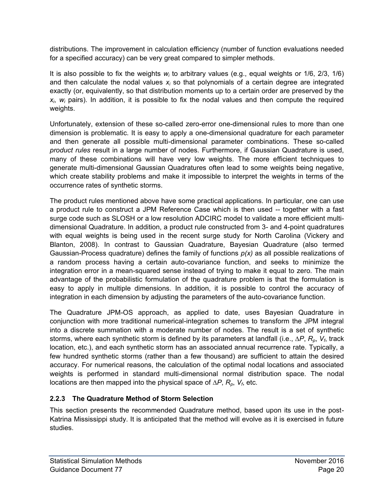distributions. The improvement in calculation efficiency (number of function evaluations needed for a specified accuracy) can be very great compared to simpler methods.

It is also possible to fix the weights *wi* to arbitrary values (e.g., equal weights or 1/6, 2/3, 1/6) and then calculate the nodal values *xi* so that polynomials of a certain degree are integrated exactly (or, equivalently, so that distribution moments up to a certain order are preserved by the  $x_i$ ,  $w_i$  pairs). In addition, it is possible to fix the nodal values and then compute the required weights.

Unfortunately, extension of these so-called zero-error one-dimensional rules to more than one dimension is problematic. It is easy to apply a one-dimensional quadrature for each parameter and then generate all possible multi-dimensional parameter combinations. These so-called *product rules* result in a large number of nodes. Furthermore, if Gaussian Quadrature is used, many of these combinations will have very low weights. The more efficient techniques to generate multi-dimensional Gaussian Quadratures often lead to some weights being negative, which create stability problems and make it impossible to interpret the weights in terms of the occurrence rates of synthetic storms.

The product rules mentioned above have some practical applications. In particular, one can use a product rule to construct a JPM Reference Case which is then used -- together with a fast surge code such as SLOSH or a low resolution ADCIRC model to validate a more efficient multidimensional Quadrature. In addition, a product rule constructed from 3- and 4-point quadratures with equal weights is being used in the recent surge study for North Carolina (Vickery and Blanton, 2008). In contrast to Gaussian Quadrature, Bayesian Quadrature (also termed Gaussian-Process quadrature) defines the family of functions *p(x)* as all possible realizations of a random process having a certain auto-covariance function, and seeks to minimize the integration error in a mean-squared sense instead of trying to make it equal to zero. The main advantage of the probabilistic formulation of the quadrature problem is that the formulation is easy to apply in multiple dimensions. In addition, it is possible to control the accuracy of integration in each dimension by adjusting the parameters of the auto-covariance function.

The Quadrature JPM-OS approach, as applied to date, uses Bayesian Quadrature in conjunction with more traditional numerical-integration schemes to transform the JPM integral into a discrete summation with a moderate number of nodes. The result is a set of synthetic storms, where each synthetic storm is defined by its parameters at landfall (i.e., *∆P*, *Rp*, *Vf*, track location, etc.), and each synthetic storm has an associated annual recurrence rate. Typically, a few hundred synthetic storms (rather than a few thousand) are sufficient to attain the desired accuracy. For numerical reasons, the calculation of the optimal nodal locations and associated weights is performed in standard multi-dimensional normal distribution space. The nodal locations are then mapped into the physical space of *∆P*, *Rp*, *Vf*, etc.

## <span id="page-24-0"></span>**2.2.3 The Quadrature Method of Storm Selection**

This section presents the recommended Quadrature method, based upon its use in the post-Katrina Mississippi study. It is anticipated that the method will evolve as it is exercised in future studies.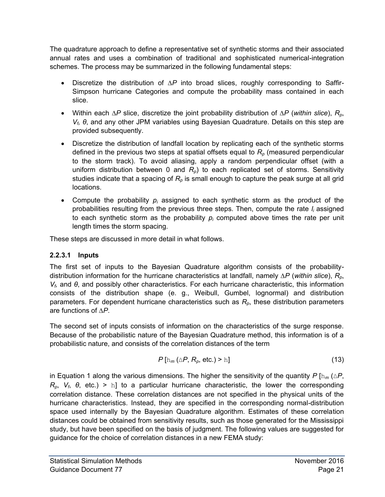The quadrature approach to define a representative set of synthetic storms and their associated annual rates and uses a combination of traditional and sophisticated numerical-integration schemes. The process may be summarized in the following fundamental steps:

- Discretize the distribution of ∆*P* into broad slices, roughly corresponding to Saffir-Simpson hurricane Categories and compute the probability mass contained in each slice.
- Within each ∆*P* slice, discretize the joint probability distribution of ∆*P* (*within slice*), *Rp*, *Vf, θ*, and any other JPM variables using Bayesian Quadrature. Details on this step are provided subsequently.
- Discretize the distribution of landfall location by replicating each of the synthetic storms defined in the previous two steps at spatial offsets equal to *Rp* (measured perpendicular to the storm track). To avoid aliasing, apply a random perpendicular offset (with a uniform distribution between 0 and  $R_p$ ) to each replicated set of storms. Sensitivity studies indicate that a spacing of *Rp* is small enough to capture the peak surge at all grid locations.
- Compute the probability *pi* assigned to each synthetic storm as the product of the probabilities resulting from the previous three steps. Then, compute the rate *li* assigned to each synthetic storm as the probability  $p_i$  computed above times the rate per unit length times the storm spacing.

These steps are discussed in more detail in what follows.

## **2.2.3.1 Inputs**

The first set of inputs to the Bayesian Quadrature algorithm consists of the probabilitydistribution information for the hurricane characteristics at landfall, namely ∆*P* (*within slice*), *Rp*, *V*<sup>*f*</sup>, and *θ*, and possibly other characteristics. For each hurricane characteristic, this information consists of the distribution shape (e. g., Weibull, Gumbel, lognormal) and distribution parameters. For dependent hurricane characteristics such as *Rp*, these distribution parameters are functions of ∆*P*.

The second set of inputs consists of information on the characteristics of the surge response. Because of the probabilistic nature of the Bayesian Quadrature method, this information is of a probabilistic nature, and consists of the correlation distances of the term

$$
P\left[\ln_m\left(\Delta P, R_p, \text{ etc.}\right) > \ln\right] \tag{13}
$$

in Equation 1 along the various dimensions. The higher the sensitivity of the quantity *P* [ $h_m(\Delta P)$ ,  $R_p$ ,  $V_f$ ,  $\theta$ , etc.) > h] to a particular hurricane characteristic, the lower the corresponding correlation distance. These correlation distances are not specified in the physical units of the hurricane characteristics. Instead, they are specified in the corresponding normal-distribution space used internally by the Bayesian Quadrature algorithm. Estimates of these correlation distances could be obtained from sensitivity results, such as those generated for the Mississippi study, but have been specified on the basis of judgment. The following values are suggested for guidance for the choice of correlation distances in a new FEMA study: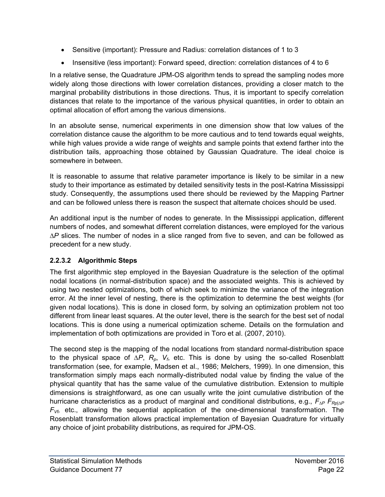- Sensitive (important): Pressure and Radius: correlation distances of 1 to 3
- Insensitive (less important): Forward speed, direction: correlation distances of 4 to 6

In a relative sense, the Quadrature JPM-OS algorithm tends to spread the sampling nodes more widely along those directions with lower correlation distances, providing a closer match to the marginal probability distributions in those directions. Thus, it is important to specify correlation distances that relate to the importance of the various physical quantities, in order to obtain an optimal allocation of effort among the various dimensions.

In an absolute sense, numerical experiments in one dimension show that low values of the correlation distance cause the algorithm to be more cautious and to tend towards equal weights, while high values provide a wide range of weights and sample points that extend farther into the distribution tails, approaching those obtained by Gaussian Quadrature. The ideal choice is somewhere in between.

It is reasonable to assume that relative parameter importance is likely to be similar in a new study to their importance as estimated by detailed sensitivity tests in the post-Katrina Mississippi study. Consequently, the assumptions used there should be reviewed by the Mapping Partner and can be followed unless there is reason the suspect that alternate choices should be used.

An additional input is the number of nodes to generate. In the Mississippi application, different numbers of nodes, and somewhat different correlation distances, were employed for the various ∆*P* slices. The number of nodes in a slice ranged from five to seven, and can be followed as precedent for a new study.

## **2.2.3.2 Algorithmic Steps**

The first algorithmic step employed in the Bayesian Quadrature is the selection of the optimal nodal locations (in normal-distribution space) and the associated weights. This is achieved by using two nested optimizations, both of which seek to minimize the variance of the integration error. At the inner level of nesting, there is the optimization to determine the best weights (for given nodal locations). This is done in closed form, by solving an optimization problem not too different from linear least squares. At the outer level, there is the search for the best set of nodal locations. This is done using a numerical optimization scheme. Details on the formulation and implementation of both optimizations are provided in Toro et al. (2007, 2010).

The second step is the mapping of the nodal locations from standard normal-distribution space to the physical space of ∆*P*, *Rp*, *Vf*, etc. This is done by using the so-called Rosenblatt transformation (see, for example, Madsen et al., 1986; Melchers, 1999). In one dimension, this transformation simply maps each normally-distributed nodal value by finding the value of the physical quantity that has the same value of the cumulative distribution. Extension to multiple dimensions is straightforward, as one can usually write the joint cumulative distribution of the hurricane characteristics as a product of marginal and conditional distributions, e.g., *F∆P FRp|∆P FVf,* etc., allowing the sequential application of the one-dimensional transformation. The Rosenblatt transformation allows practical implementation of Bayesian Quadrature for virtually any choice of joint probability distributions, as required for JPM-OS.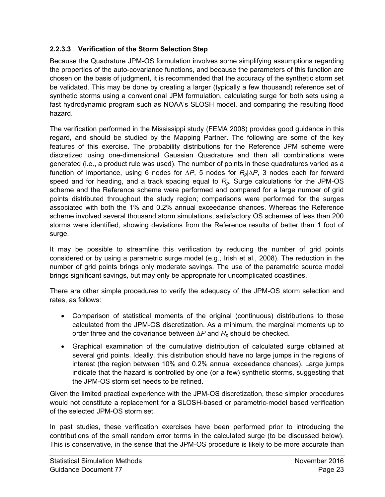## **2.2.3.3 Verification of the Storm Selection Step**

Because the Quadrature JPM-OS formulation involves some simplifying assumptions regarding the properties of the auto-covariance functions, and because the parameters of this function are chosen on the basis of judgment, it is recommended that the accuracy of the synthetic storm set be validated. This may be done by creating a larger (typically a few thousand) reference set of synthetic storms using a conventional JPM formulation, calculating surge for both sets using a fast hydrodynamic program such as NOAA's SLOSH model, and comparing the resulting flood hazard.

The verification performed in the Mississippi study (FEMA 2008) provides good guidance in this regard, and should be studied by the Mapping Partner. The following are some of the key features of this exercise. The probability distributions for the Reference JPM scheme were discretized using one-dimensional Gaussian Quadrature and then all combinations were generated (i.e., a product rule was used). The number of points in these quadratures varied as a function of importance, using 6 nodes for ∆*P*, 5 nodes for *Rp*|∆*P*, 3 nodes each for forward speed and for heading, and a track spacing equal to *Rp*. Surge calculations for the JPM-OS scheme and the Reference scheme were performed and compared for a large number of grid points distributed throughout the study region; comparisons were performed for the surges associated with both the 1% and 0.2% annual exceedance chances. Whereas the Reference scheme involved several thousand storm simulations, satisfactory OS schemes of less than 200 storms were identified, showing deviations from the Reference results of better than 1 foot of surge.

It may be possible to streamline this verification by reducing the number of grid points considered or by using a parametric surge model (e.g., Irish et al., 2008). The reduction in the number of grid points brings only moderate savings. The use of the parametric source model brings significant savings, but may only be appropriate for uncomplicated coastlines.

There are other simple procedures to verify the adequacy of the JPM-OS storm selection and rates, as follows:

- Comparison of statistical moments of the original (continuous) distributions to those calculated from the JPM-OS discretization. As a minimum, the marginal moments up to order three and the covariance between ∆*P* and *Rp* should be checked.
- Graphical examination of the cumulative distribution of calculated surge obtained at several grid points. Ideally, this distribution should have no large jumps in the regions of interest (the region between 10% and 0.2% annual exceedance chances). Large jumps indicate that the hazard is controlled by one (or a few) synthetic storms, suggesting that the JPM-OS storm set needs to be refined.

Given the limited practical experience with the JPM-OS discretization, these simpler procedures would not constitute a replacement for a SLOSH-based or parametric-model based verification of the selected JPM-OS storm set.

In past studies, these verification exercises have been performed prior to introducing the contributions of the small random error terms in the calculated surge (to be discussed below). This is conservative, in the sense that the JPM-OS procedure is likely to be more accurate than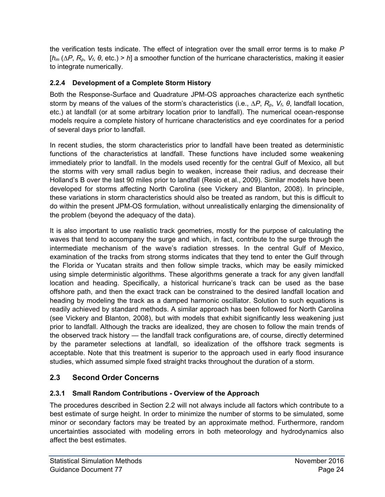the verification tests indicate. The effect of integration over the small error terms is to make *P* [*h<sup>m</sup>* (∆*P*, *Rp*, *Vf*, *θ*, etc.) > *h*] a smoother function of the hurricane characteristics, making it easier to integrate numerically.

## <span id="page-28-0"></span>**2.2.4 Development of a Complete Storm History**

Both the Response-Surface and Quadrature JPM-OS approaches characterize each synthetic storm by means of the values of the storm's characteristics (i.e., ∆*P*, *Rp*, *Vf*, *θ*, landfall location, etc.) at landfall (or at some arbitrary location prior to landfall). The numerical ocean-response models require a complete history of hurricane characteristics and eye coordinates for a period of several days prior to landfall.

In recent studies, the storm characteristics prior to landfall have been treated as deterministic functions of the characteristics at landfall. These functions have included some weakening immediately prior to landfall. In the models used recently for the central Gulf of Mexico, all but the storms with very small radius begin to weaken, increase their radius, and decrease their Holland's B over the last 90 miles prior to landfall (Resio et al., 2009). Similar models have been developed for storms affecting North Carolina (see Vickery and Blanton, 2008). In principle, these variations in storm characteristics should also be treated as random, but this is difficult to do within the present JPM-OS formulation, without unrealistically enlarging the dimensionality of the problem (beyond the adequacy of the data).

It is also important to use realistic track geometries, mostly for the purpose of calculating the waves that tend to accompany the surge and which, in fact, contribute to the surge through the intermediate mechanism of the wave's radiation stresses. In the central Gulf of Mexico, examination of the tracks from strong storms indicates that they tend to enter the Gulf through the Florida or Yucatan straits and then follow simple tracks, which may be easily mimicked using simple deterministic algorithms. These algorithms generate a track for any given landfall location and heading. Specifically, a historical hurricane's track can be used as the base offshore path, and then the exact track can be constrained to the desired landfall location and heading by modeling the track as a damped harmonic oscillator. Solution to such equations is readily achieved by standard methods. A similar approach has been followed for North Carolina (see Vickery and Blanton, 2008), but with models that exhibit significantly less weakening just prior to landfall. Although the tracks are idealized, they are chosen to follow the main trends of the observed track history — the landfall track configurations are, of course, directly determined by the parameter selections at landfall, so idealization of the offshore track segments is acceptable. Note that this treatment is superior to the approach used in early flood insurance studies, which assumed simple fixed straight tracks throughout the duration of a storm.

## <span id="page-28-1"></span>**2.3 Second Order Concerns**

## <span id="page-28-2"></span>**2.3.1 Small Random Contributions - Overview of the Approach**

The procedures described in Section 2.2 will not always include all factors which contribute to a best estimate of surge height. In order to minimize the number of storms to be simulated, some minor or secondary factors may be treated by an approximate method. Furthermore, random uncertainties associated with modeling errors in both meteorology and hydrodynamics also affect the best estimates.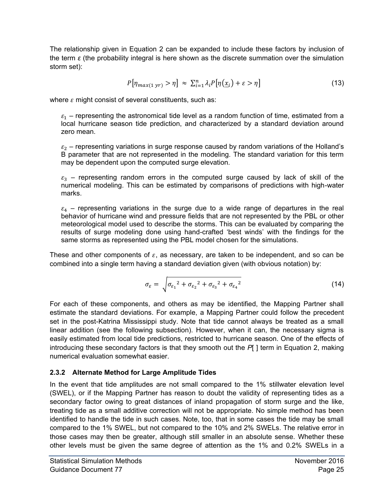The relationship given in Equation 2 can be expanded to include these factors by inclusion of the term *ε* (the probability integral is here shown as the discrete summation over the simulation storm set):

$$
P[\eta_{max(1\,\mathrm{yr})} > \eta] \approx \sum_{i=1}^{n} \lambda_i P[\eta(\underline{x}_i) + \varepsilon > \eta] \tag{13}
$$

where  $\varepsilon$  might consist of several constituents, such as:

 $\varepsilon_1$  – representing the astronomical tide level as a random function of time, estimated from a local hurricane season tide prediction, and characterized by a standard deviation around zero mean.

 $\varepsilon_2$  – representing variations in surge response caused by random variations of the Holland's B parameter that are not represented in the modeling. The standard variation for this term may be dependent upon the computed surge elevation.

 $\epsilon_3$  – representing random errors in the computed surge caused by lack of skill of the numerical modeling. This can be estimated by comparisons of predictions with high-water marks.

 $\varepsilon_4$  – representing variations in the surge due to a wide range of departures in the real behavior of hurricane wind and pressure fields that are not represented by the PBL or other meteorological model used to describe the storms. This can be evaluated by comparing the results of surge modeling done using hand-crafted 'best winds' with the findings for the same storms as represented using the PBL model chosen for the simulations.

These and other components of  $\varepsilon$ , as necessary, are taken to be independent, and so can be combined into a single term having a standard deviation given (with obvious notation) by:

$$
\sigma_{\varepsilon} = \sqrt{{\sigma_{\varepsilon_1}}^2 + {\sigma_{\varepsilon_2}}^2 + {\sigma_{\varepsilon_3}}^2 + {\sigma_{\varepsilon_4}}^2}
$$
\n(14)

For each of these components, and others as may be identified, the Mapping Partner shall estimate the standard deviations. For example, a Mapping Partner could follow the precedent set in the post-Katrina Mississippi study. Note that tide cannot always be treated as a small linear addition (see the following subsection). However, when it can, the necessary sigma is easily estimated from local tide predictions, restricted to hurricane season. One of the effects of introducing these secondary factors is that they smooth out the *P*[ ] term in Equation 2, making numerical evaluation somewhat easier.

## <span id="page-29-0"></span>**2.3.2 Alternate Method for Large Amplitude Tides**

In the event that tide amplitudes are not small compared to the 1% stillwater elevation level (SWEL), or if the Mapping Partner has reason to doubt the validity of representing tides as a secondary factor owing to great distances of inland propagation of storm surge and the like, treating tide as a small additive correction will not be appropriate. No simple method has been identified to handle the tide in such cases. Note, too, that in some cases the tide may be small compared to the 1% SWEL, but not compared to the 10% and 2% SWELs. The relative error in those cases may then be greater, although still smaller in an absolute sense. Whether these other levels must be given the same degree of attention as the 1% and 0.2% SWELs in a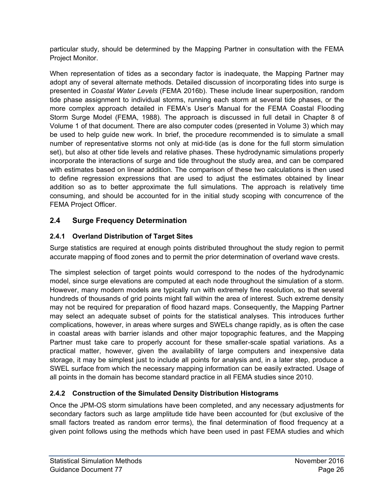particular study, should be determined by the Mapping Partner in consultation with the FEMA Project Monitor.

When representation of tides as a secondary factor is inadequate, the Mapping Partner may adopt any of several alternate methods. Detailed discussion of incorporating tides into surge is presented in *Coastal Water Levels* (FEMA 2016b). These include linear superposition, random tide phase assignment to individual storms, running each storm at several tide phases, or the more complex approach detailed in FEMA's User's Manual for the FEMA Coastal Flooding Storm Surge Model (FEMA, 1988). The approach is discussed in full detail in Chapter 8 of Volume 1 of that document. There are also computer codes (presented in Volume 3) which may be used to help guide new work. In brief, the procedure recommended is to simulate a small number of representative storms not only at mid-tide (as is done for the full storm simulation set), but also at other tide levels and relative phases. These hydrodynamic simulations properly incorporate the interactions of surge and tide throughout the study area, and can be compared with estimates based on linear addition. The comparison of these two calculations is then used to define regression expressions that are used to adjust the estimates obtained by linear addition so as to better approximate the full simulations. The approach is relatively time consuming, and should be accounted for in the initial study scoping with concurrence of the FEMA Project Officer.

## <span id="page-30-0"></span>**2.4 Surge Frequency Determination**

#### <span id="page-30-1"></span>**2.4.1 Overland Distribution of Target Sites**

Surge statistics are required at enough points distributed throughout the study region to permit accurate mapping of flood zones and to permit the prior determination of overland wave crests.

The simplest selection of target points would correspond to the nodes of the hydrodynamic model, since surge elevations are computed at each node throughout the simulation of a storm. However, many modern models are typically run with extremely fine resolution, so that several hundreds of thousands of grid points might fall within the area of interest. Such extreme density may not be required for preparation of flood hazard maps. Consequently, the Mapping Partner may select an adequate subset of points for the statistical analyses. This introduces further complications, however, in areas where surges and SWELs change rapidly, as is often the case in coastal areas with barrier islands and other major topographic features, and the Mapping Partner must take care to properly account for these smaller-scale spatial variations. As a practical matter, however, given the availability of large computers and inexpensive data storage, it may be simplest just to include all points for analysis and, in a later step, produce a SWEL surface from which the necessary mapping information can be easily extracted. Usage of all points in the domain has become standard practice in all FEMA studies since 2010.

## <span id="page-30-2"></span>**2.4.2 Construction of the Simulated Density Distribution Histograms**

Once the JPM-OS storm simulations have been completed, and any necessary adjustments for secondary factors such as large amplitude tide have been accounted for (but exclusive of the small factors treated as random error terms), the final determination of flood frequency at a given point follows using the methods which have been used in past FEMA studies and which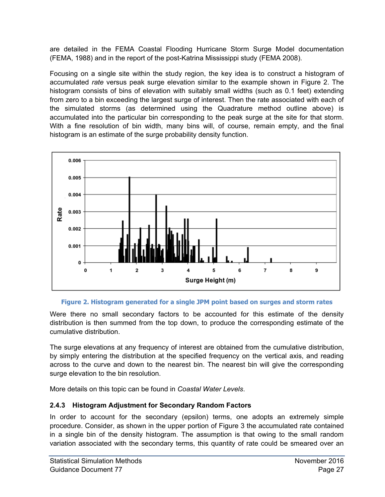are detailed in the FEMA Coastal Flooding Hurricane Storm Surge Model documentation (FEMA, 1988) and in the report of the post-Katrina Mississippi study (FEMA 2008).

Focusing on a single site within the study region, the key idea is to construct a histogram of accumulated *rate* versus peak surge elevation similar to the example shown in [Figure 2.](#page-31-1) The histogram consists of bins of elevation with suitably small widths (such as 0.1 feet) extending from zero to a bin exceeding the largest surge of interest. Then the rate associated with each of the simulated storms (as determined using the Quadrature method outline above) is accumulated into the particular bin corresponding to the peak surge at the site for that storm. With a fine resolution of bin width, many bins will, of course, remain empty, and the final histogram is an estimate of the surge probability density function.



#### **Figure 2. Histogram generated for a single JPM point based on surges and storm rates**

<span id="page-31-1"></span>Were there no small secondary factors to be accounted for this estimate of the density distribution is then summed from the top down, to produce the corresponding estimate of the cumulative distribution.

The surge elevations at any frequency of interest are obtained from the cumulative distribution, by simply entering the distribution at the specified frequency on the vertical axis, and reading across to the curve and down to the nearest bin. The nearest bin will give the corresponding surge elevation to the bin resolution.

More details on this topic can be found in *Coastal Water Levels*.

#### <span id="page-31-0"></span>**2.4.3 Histogram Adjustment for Secondary Random Factors**

In order to account for the secondary (epsilon) terms, one adopts an extremely simple procedure. Consider, as shown in the upper portion of [Figure 3](#page-32-1) the accumulated rate contained in a single bin of the density histogram. The assumption is that owing to the small random variation associated with the secondary terms, this quantity of rate could be smeared over an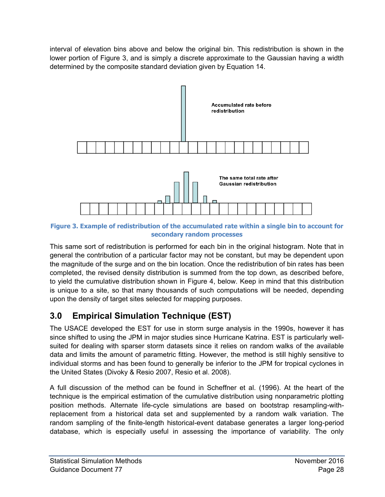interval of elevation bins above and below the original bin. This redistribution is shown in the lower portion of [Figure 3,](#page-32-1) and is simply a discrete approximate to the Gaussian having a width determined by the composite standard deviation given by Equation 14.



<span id="page-32-1"></span>**Figure 3. Example of redistribution of the accumulated rate within a single bin to account for secondary random processes** 

This same sort of redistribution is performed for each bin in the original histogram. Note that in general the contribution of a particular factor may not be constant, but may be dependent upon the magnitude of the surge and on the bin location. Once the redistribution of bin rates has been completed, the revised density distribution is summed from the top down, as described before, to yield the cumulative distribution shown in [Figure 4,](#page-33-0) below. Keep in mind that this distribution is unique to a site, so that many thousands of such computations will be needed, depending upon the density of target sites selected for mapping purposes.

## <span id="page-32-0"></span>**3.0 Empirical Simulation Technique (EST)**

The USACE developed the EST for use in storm surge analysis in the 1990s, however it has since shifted to using the JPM in major studies since Hurricane Katrina. EST is particularly wellsuited for dealing with sparser storm datasets since it relies on random walks of the available data and limits the amount of parametric fitting. However, the method is still highly sensitive to individual storms and has been found to generally be inferior to the JPM for tropical cyclones in the United States (Divoky & Resio 2007, Resio et al. 2008).

A full discussion of the method can be found in Scheffner et al. (1996). At the heart of the technique is the empirical estimation of the cumulative distribution using nonparametric plotting position methods. Alternate life-cycle simulations are based on bootstrap resampling-withreplacement from a historical data set and supplemented by a random walk variation. The random sampling of the finite-length historical-event database generates a larger long-period database, which is especially useful in assessing the importance of variability. The only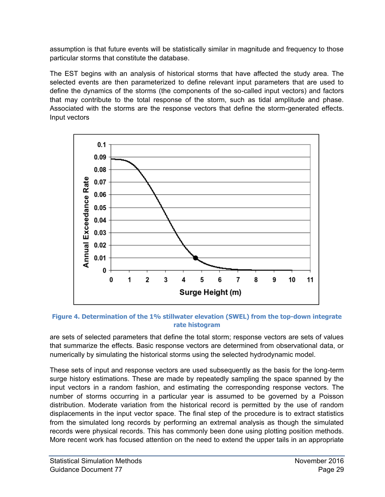assumption is that future events will be statistically similar in magnitude and frequency to those particular storms that constitute the database.

The EST begins with an analysis of historical storms that have affected the study area. The selected events are then parameterized to define relevant input parameters that are used to define the dynamics of the storms (the components of the so-called input vectors) and factors that may contribute to the total response of the storm, such as tidal amplitude and phase. Associated with the storms are the response vectors that define the storm-generated effects. Input vectors



<span id="page-33-0"></span>**Figure 4. Determination of the 1% stillwater elevation (SWEL) from the top-down integrate rate histogram** 

are sets of selected parameters that define the total storm; response vectors are sets of values that summarize the effects. Basic response vectors are determined from observational data, or numerically by simulating the historical storms using the selected hydrodynamic model.

These sets of input and response vectors are used subsequently as the basis for the long-term surge history estimations. These are made by repeatedly sampling the space spanned by the input vectors in a random fashion, and estimating the corresponding response vectors. The number of storms occurring in a particular year is assumed to be governed by a Poisson distribution. Moderate variation from the historical record is permitted by the use of random displacements in the input vector space. The final step of the procedure is to extract statistics from the simulated long records by performing an extremal analysis as though the simulated records were physical records. This has commonly been done using plotting position methods. More recent work has focused attention on the need to extend the upper tails in an appropriate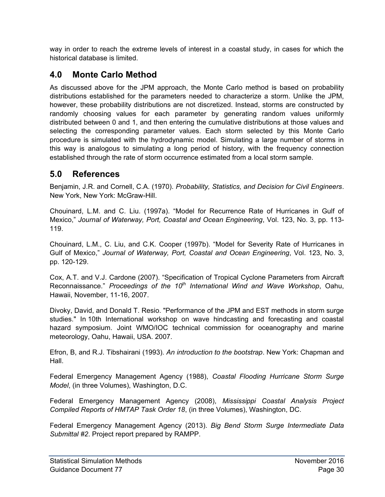way in order to reach the extreme levels of interest in a coastal study, in cases for which the historical database is limited.

## <span id="page-34-0"></span>**4.0 Monte Carlo Method**

As discussed above for the JPM approach, the Monte Carlo method is based on probability distributions established for the parameters needed to characterize a storm. Unlike the JPM, however, these probability distributions are not discretized. Instead, storms are constructed by randomly choosing values for each parameter by generating random values uniformly distributed between 0 and 1, and then entering the cumulative distributions at those values and selecting the corresponding parameter values. Each storm selected by this Monte Carlo procedure is simulated with the hydrodynamic model. Simulating a large number of storms in this way is analogous to simulating a long period of history, with the frequency connection established through the rate of storm occurrence estimated from a local storm sample.

## <span id="page-34-1"></span>**5.0 References**

Benjamin, J.R. and Cornell, C.A. (1970). *Probability, Statistics, and Decision for Civil Engineers*. New York, New York: McGraw-Hill.

Chouinard, L.M. and C. Liu. (1997a). "Model for Recurrence Rate of Hurricanes in Gulf of Mexico," *Journal of Waterway, Port, Coastal and Ocean Engineering*, Vol. 123, No. 3, pp. 113- 119.

Chouinard, L.M., C. Liu, and C.K. Cooper (1997b). "Model for Severity Rate of Hurricanes in Gulf of Mexico," *Journal of Waterway, Port, Coastal and Ocean Engineering*, Vol. 123, No. 3, pp. 120-129.

Cox, A.T. and V.J. Cardone (2007). "Specification of Tropical Cyclone Parameters from Aircraft Reconnaissance." *Proceedings of the 10th International Wind and Wave Workshop*, Oahu, Hawaii, November, 11-16, 2007.

Divoky, David, and Donald T. Resio. "Performance of the JPM and EST methods in storm surge studies." In 10th International workshop on wave hindcasting and forecasting and coastal hazard symposium. Joint WMO/IOC technical commission for oceanography and marine meteorology, Oahu, Hawaii, USA. 2007.

Efron, B, and R.J. Tibshairani (1993). *An introduction to the bootstrap*. New York: Chapman and Hall.

Federal Emergency Management Agency (1988), *Coastal Flooding Hurricane Storm Surge Model*, (in three Volumes), Washington, D.C.

Federal Emergency Management Agency (2008), *Mississippi Coastal Analysis Project Compiled Reports of HMTAP Task Order 18*, (in three Volumes), Washington, DC.

Federal Emergency Management Agency (2013). *Big Bend Storm Surge Intermediate Data Submittal #2*. Project report prepared by RAMPP.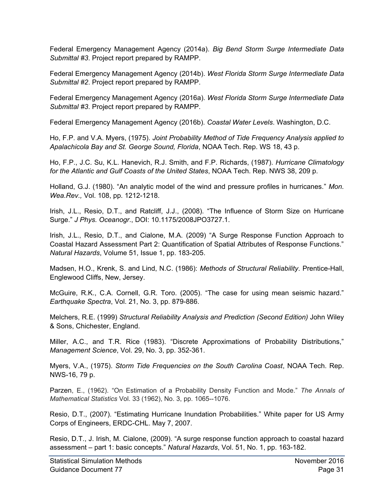Federal Emergency Management Agency (2014a). *Big Bend Storm Surge Intermediate Data Submittal #3*. Project report prepared by RAMPP.

Federal Emergency Management Agency (2014b). *West Florida Storm Surge Intermediate Data Submittal #2*. Project report prepared by RAMPP.

Federal Emergency Management Agency (2016a). *West Florida Storm Surge Intermediate Data Submittal #3*. Project report prepared by RAMPP.

Federal Emergency Management Agency (2016b). *Coastal Water Levels*. Washington, D.C.

Ho, F.P. and V.A. Myers, (1975). *Joint Probability Method of Tide Frequency Analysis applied to Apalachicola Bay and St. George Sound, Florida*, NOAA Tech. Rep. WS 18, 43 p.

Ho, F.P., J.C. Su, K.L. Hanevich, R.J. Smith, and F.P. Richards, (1987). *Hurricane Climatology for the Atlantic and Gulf Coasts of the United States*, NOAA Tech. Rep. NWS 38, 209 p.

Holland, G.J. (1980). "An analytic model of the wind and pressure profiles in hurricanes." *Mon. Wea.Rev.,* Vol. 108, pp. 1212-1218.

Irish, J.L., Resio, D.T., and Ratcliff, J.J., (2008). "The Influence of Storm Size on Hurricane Surge." *J Phys. Oceanogr*., DOI: 10.1175/2008JPO3727.1.

Irish, J.L., Resio, D.T., and Cialone, M.A. (2009) "A Surge Response Function Approach to Coastal Hazard Assessment Part 2: Quantification of Spatial Attributes of Response Functions." *Natural Hazards*, Volume 51, Issue 1, pp. 183-205.

Madsen, H.O., Krenk, S. and Lind, N.C. (1986): *Methods of Structural Reliability*. Prentice-Hall, Englewood Cliffs, New, Jersey.

McGuire, R.K., C.A. Cornell, G.R. Toro. (2005). "The case for using mean seismic hazard." *Earthquake Spectra*, Vol. 21, No. 3, pp. 879-886.

Melchers, R.E. (1999) *Structural Reliability Analysis and Prediction (Second Edition)* John Wiley & Sons, Chichester, England.

Miller, A.C., and T.R. Rice (1983). "Discrete Approximations of Probability Distributions," *Management Science*, Vol. 29, No. 3, pp. 352-361.

Myers, V.A., (1975). *Storm Tide Frequencies on the South Carolina Coast*, NOAA Tech. Rep. NWS-16, 79 p.

Parzen, E., (1962). "On Estimation of a Probability Density Function and Mode." *The Annals of Mathematical Statistics* Vol. 33 (1962), No. 3, pp. 1065--1076.

Resio, D.T., (2007). "Estimating Hurricane Inundation Probabilities." White paper for US Army Corps of Engineers, ERDC-CHL. May 7, 2007.

Resio, D.T., J. Irish, M. Cialone, (2009). "A surge response function approach to coastal hazard assessment – part 1: basic concepts." *Natural Hazards*, Vol. 51, No. 1, pp. 163-182.